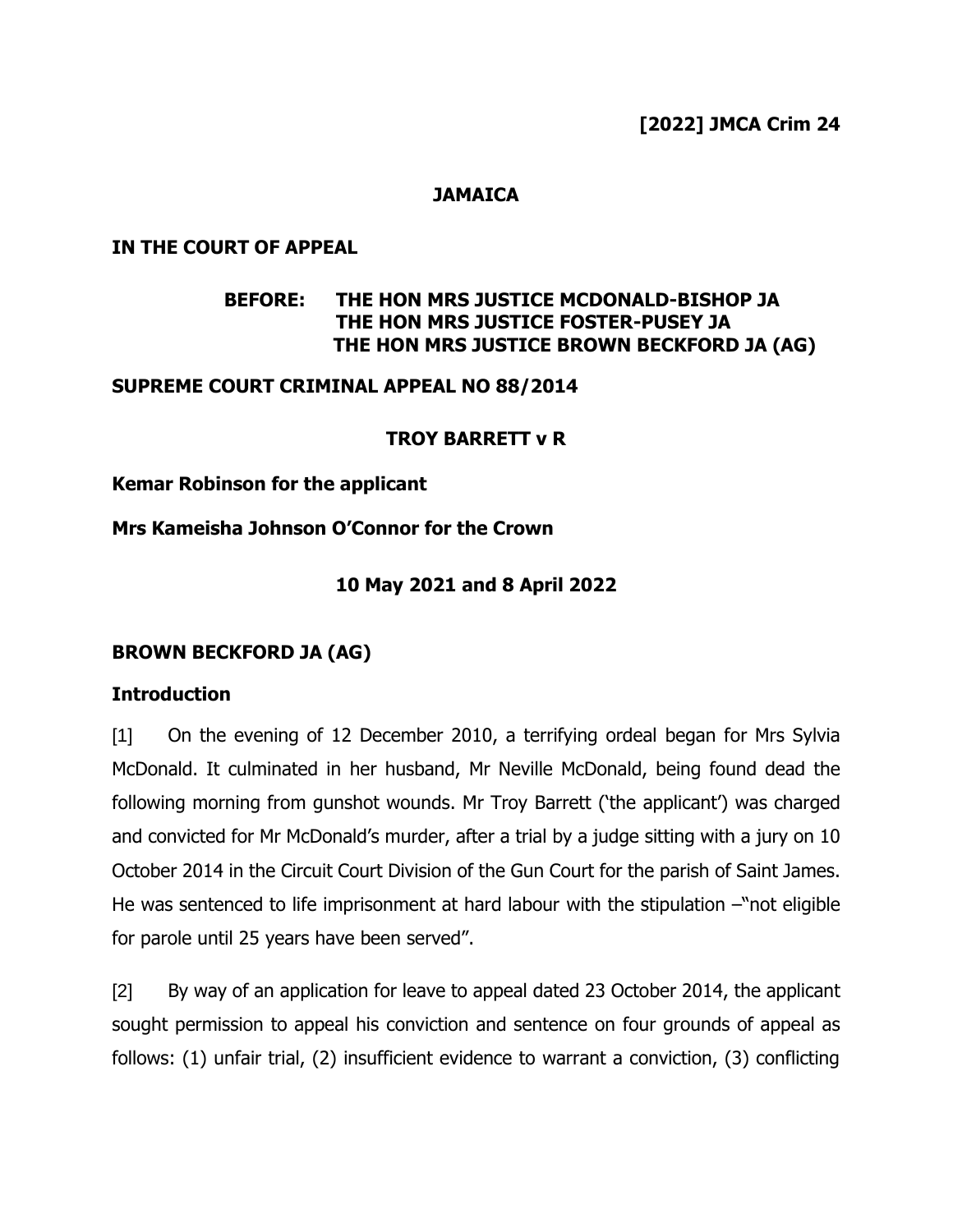# **JAMAICA**

### **IN THE COURT OF APPEAL**

# **BEFORE: THE HON MRS JUSTICE MCDONALD-BISHOP JA THE HON MRS JUSTICE FOSTER-PUSEY JA THE HON MRS JUSTICE BROWN BECKFORD JA (AG)**

### **SUPREME COURT CRIMINAL APPEAL NO 88/2014**

### **TROY BARRETT v R**

### **Kemar Robinson for the applicant**

### **Mrs Kameisha Johnson O'Connor for the Crown**

### **10 May 2021 and 8 April 2022**

### **BROWN BECKFORD JA (AG)**

### **Introduction**

[1] On the evening of 12 December 2010, a terrifying ordeal began for Mrs Sylvia McDonald. It culminated in her husband, Mr Neville McDonald, being found dead the following morning from gunshot wounds. Mr Troy Barrett ('the applicant') was charged and convicted for Mr McDonald's murder, after a trial by a judge sitting with a jury on 10 October 2014 in the Circuit Court Division of the Gun Court for the parish of Saint James. He was sentenced to life imprisonment at hard labour with the stipulation –"not eligible for parole until 25 years have been served".

[2] By way of an application for leave to appeal dated 23 October 2014, the applicant sought permission to appeal his conviction and sentence on four grounds of appeal as follows: (1) unfair trial, (2) insufficient evidence to warrant a conviction, (3) conflicting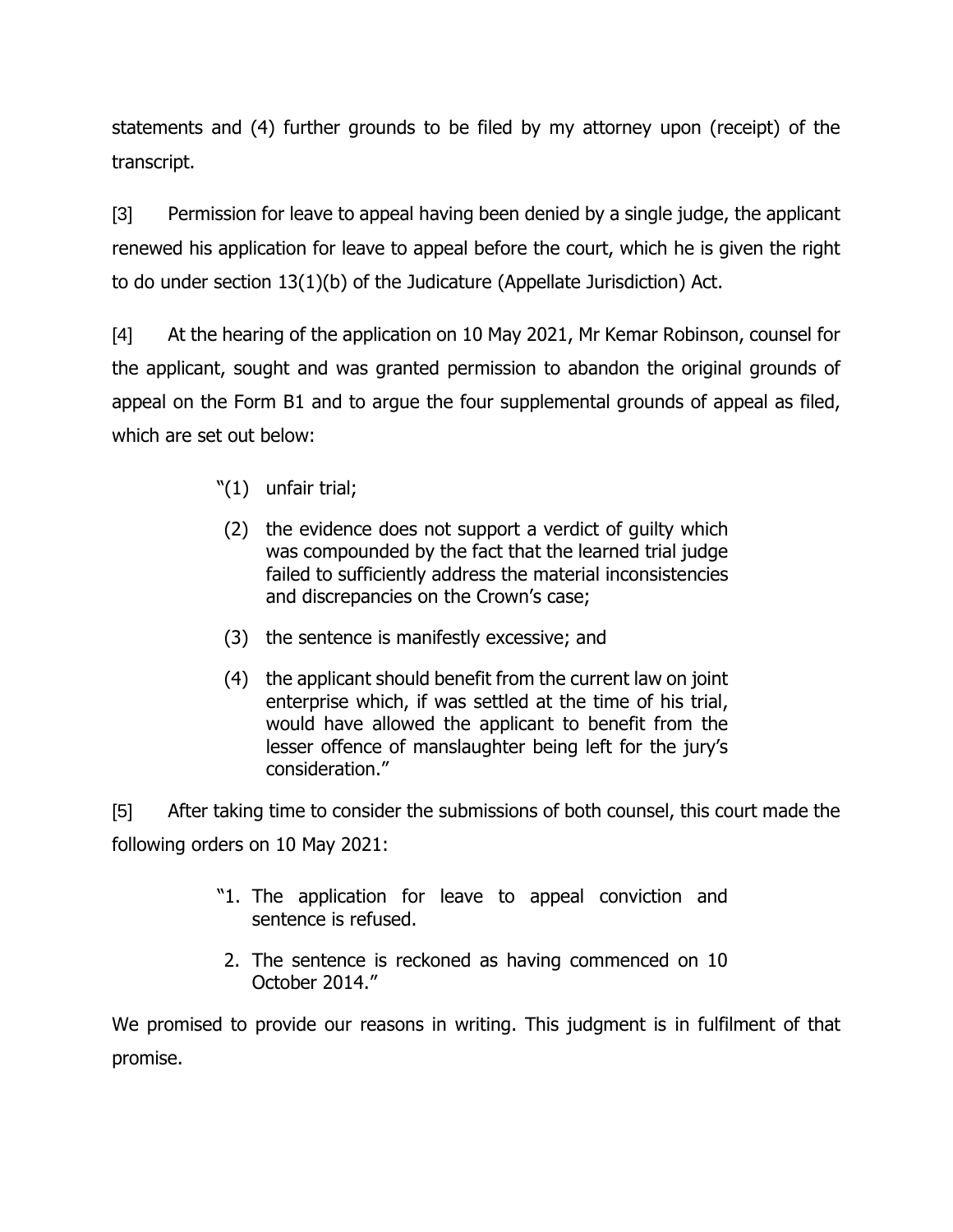statements and (4) further grounds to be filed by my attorney upon (receipt) of the transcript.

[3] Permission for leave to appeal having been denied by a single judge, the applicant renewed his application for leave to appeal before the court, which he is given the right to do under section 13(1)(b) of the Judicature (Appellate Jurisdiction) Act.

[4] At the hearing of the application on 10 May 2021, Mr Kemar Robinson, counsel for the applicant, sought and was granted permission to abandon the original grounds of appeal on the Form B1 and to argue the four supplemental grounds of appeal as filed, which are set out below:

- "(1) unfair trial;
- (2) the evidence does not support a verdict of guilty which was compounded by the fact that the learned trial judge failed to sufficiently address the material inconsistencies and discrepancies on the Crown's case;
- (3) the sentence is manifestly excessive; and
- (4) the applicant should benefit from the current law on joint enterprise which, if was settled at the time of his trial, would have allowed the applicant to benefit from the lesser offence of manslaughter being left for the jury's consideration."

[5] After taking time to consider the submissions of both counsel, this court made the following orders on 10 May 2021:

- "1. The application for leave to appeal conviction and sentence is refused.
- 2. The sentence is reckoned as having commenced on 10 October 2014."

We promised to provide our reasons in writing. This judgment is in fulfilment of that promise.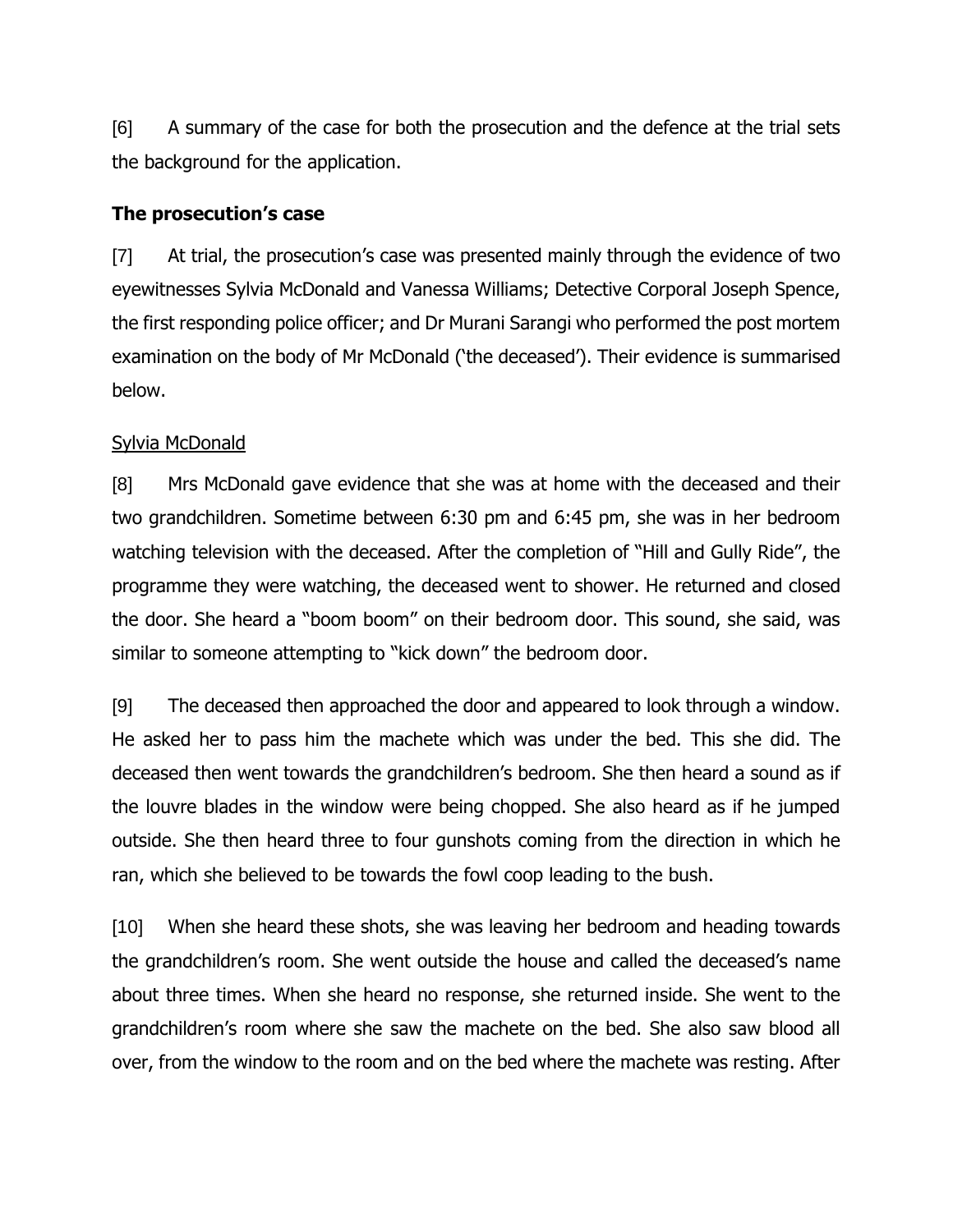[6] A summary of the case for both the prosecution and the defence at the trial sets the background for the application.

### **The prosecution's case**

[7] At trial, the prosecution's case was presented mainly through the evidence of two eyewitnesses Sylvia McDonald and Vanessa Williams; Detective Corporal Joseph Spence, the first responding police officer; and Dr Murani Sarangi who performed the post mortem examination on the body of Mr McDonald ('the deceased'). Their evidence is summarised below.

# Sylvia McDonald

[8] Mrs McDonald gave evidence that she was at home with the deceased and their two grandchildren. Sometime between 6:30 pm and 6:45 pm, she was in her bedroom watching television with the deceased. After the completion of "Hill and Gully Ride", the programme they were watching, the deceased went to shower. He returned and closed the door. She heard a "boom boom" on their bedroom door. This sound, she said, was similar to someone attempting to "kick down" the bedroom door.

[9] The deceased then approached the door and appeared to look through a window. He asked her to pass him the machete which was under the bed. This she did. The deceased then went towards the grandchildren's bedroom. She then heard a sound as if the louvre blades in the window were being chopped. She also heard as if he jumped outside. She then heard three to four gunshots coming from the direction in which he ran, which she believed to be towards the fowl coop leading to the bush.

[10] When she heard these shots, she was leaving her bedroom and heading towards the grandchildren's room. She went outside the house and called the deceased's name about three times. When she heard no response, she returned inside. She went to the grandchildren's room where she saw the machete on the bed. She also saw blood all over, from the window to the room and on the bed where the machete was resting. After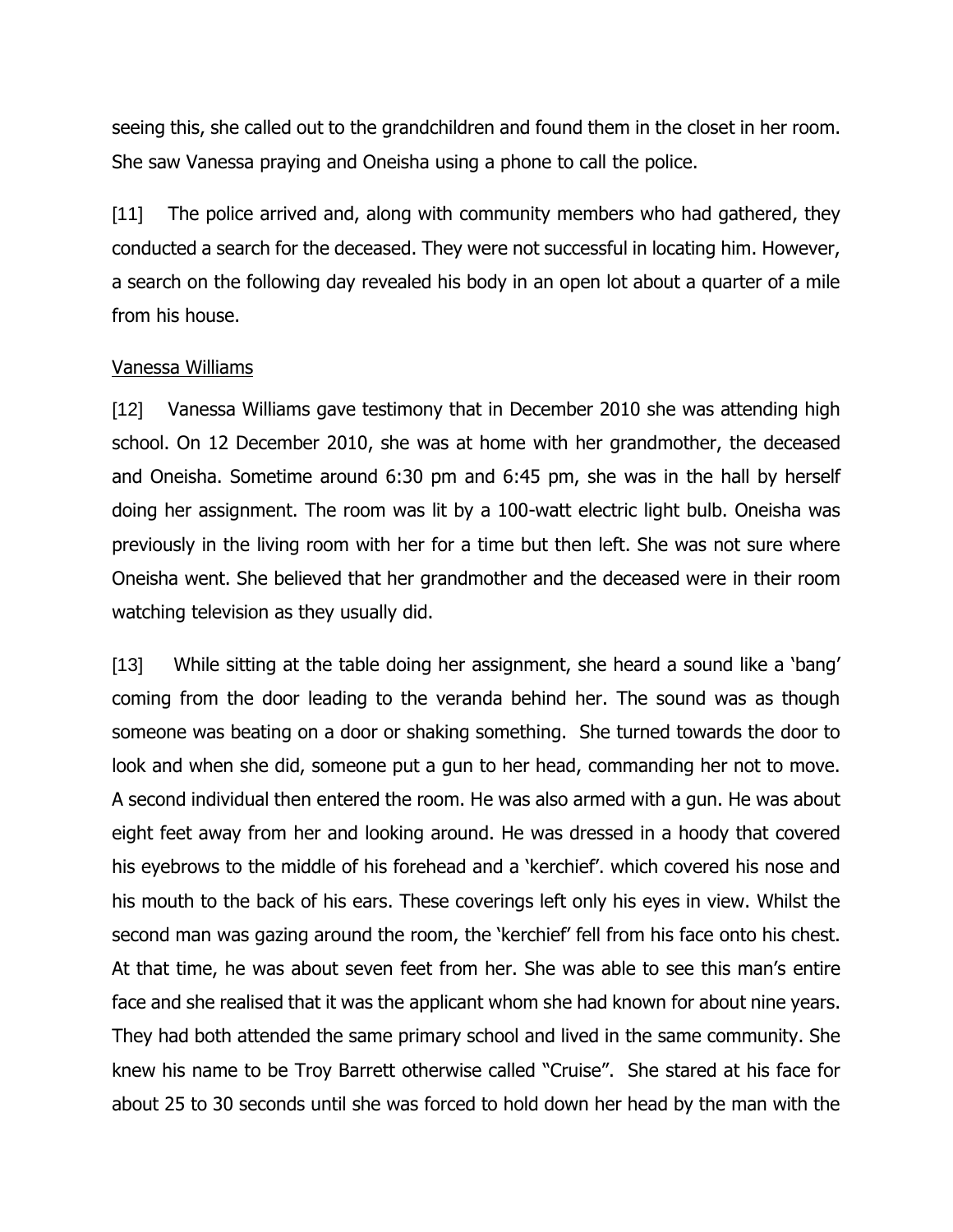seeing this, she called out to the grandchildren and found them in the closet in her room. She saw Vanessa praying and Oneisha using a phone to call the police.

[11] The police arrived and, along with community members who had gathered, they conducted a search for the deceased. They were not successful in locating him. However, a search on the following day revealed his body in an open lot about a quarter of a mile from his house.

#### Vanessa Williams

[12] Vanessa Williams gave testimony that in December 2010 she was attending high school. On 12 December 2010, she was at home with her grandmother, the deceased and Oneisha. Sometime around 6:30 pm and 6:45 pm, she was in the hall by herself doing her assignment. The room was lit by a 100-watt electric light bulb. Oneisha was previously in the living room with her for a time but then left. She was not sure where Oneisha went. She believed that her grandmother and the deceased were in their room watching television as they usually did.

[13] While sitting at the table doing her assignment, she heard a sound like a 'bang' coming from the door leading to the veranda behind her. The sound was as though someone was beating on a door or shaking something. She turned towards the door to look and when she did, someone put a gun to her head, commanding her not to move. A second individual then entered the room. He was also armed with a gun. He was about eight feet away from her and looking around. He was dressed in a hoody that covered his eyebrows to the middle of his forehead and a 'kerchief'. which covered his nose and his mouth to the back of his ears. These coverings left only his eyes in view. Whilst the second man was gazing around the room, the 'kerchief' fell from his face onto his chest. At that time, he was about seven feet from her. She was able to see this man's entire face and she realised that it was the applicant whom she had known for about nine years. They had both attended the same primary school and lived in the same community. She knew his name to be Troy Barrett otherwise called "Cruise". She stared at his face for about 25 to 30 seconds until she was forced to hold down her head by the man with the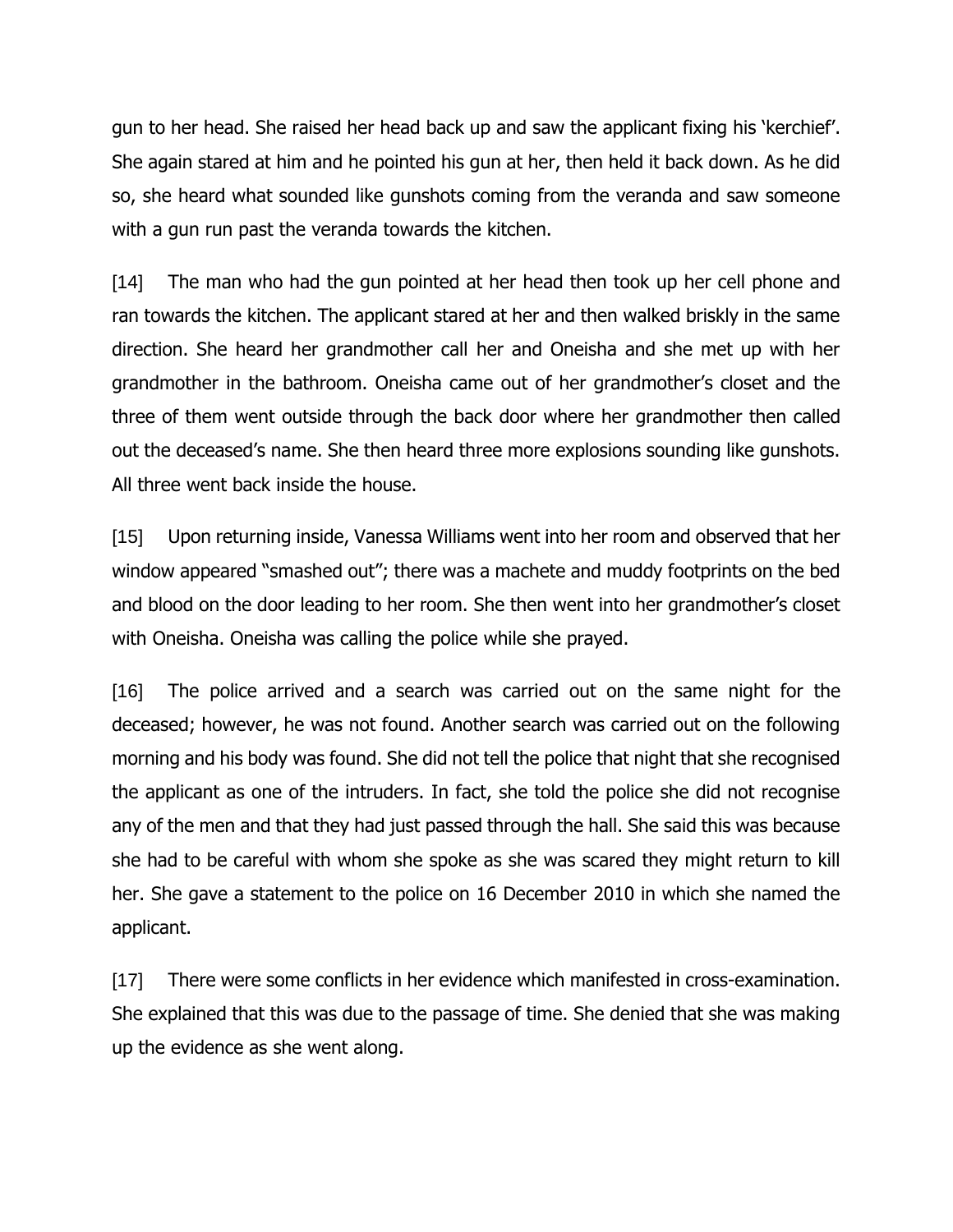gun to her head. She raised her head back up and saw the applicant fixing his 'kerchief'. She again stared at him and he pointed his gun at her, then held it back down. As he did so, she heard what sounded like gunshots coming from the veranda and saw someone with a gun run past the veranda towards the kitchen.

[14] The man who had the gun pointed at her head then took up her cell phone and ran towards the kitchen. The applicant stared at her and then walked briskly in the same direction. She heard her grandmother call her and Oneisha and she met up with her grandmother in the bathroom. Oneisha came out of her grandmother's closet and the three of them went outside through the back door where her grandmother then called out the deceased's name. She then heard three more explosions sounding like gunshots. All three went back inside the house.

[15] Upon returning inside, Vanessa Williams went into her room and observed that her window appeared "smashed out"; there was a machete and muddy footprints on the bed and blood on the door leading to her room. She then went into her grandmother's closet with Oneisha. Oneisha was calling the police while she prayed.

[16] The police arrived and a search was carried out on the same night for the deceased; however, he was not found. Another search was carried out on the following morning and his body was found. She did not tell the police that night that she recognised the applicant as one of the intruders. In fact, she told the police she did not recognise any of the men and that they had just passed through the hall. She said this was because she had to be careful with whom she spoke as she was scared they might return to kill her. She gave a statement to the police on 16 December 2010 in which she named the applicant.

[17] There were some conflicts in her evidence which manifested in cross-examination. She explained that this was due to the passage of time. She denied that she was making up the evidence as she went along.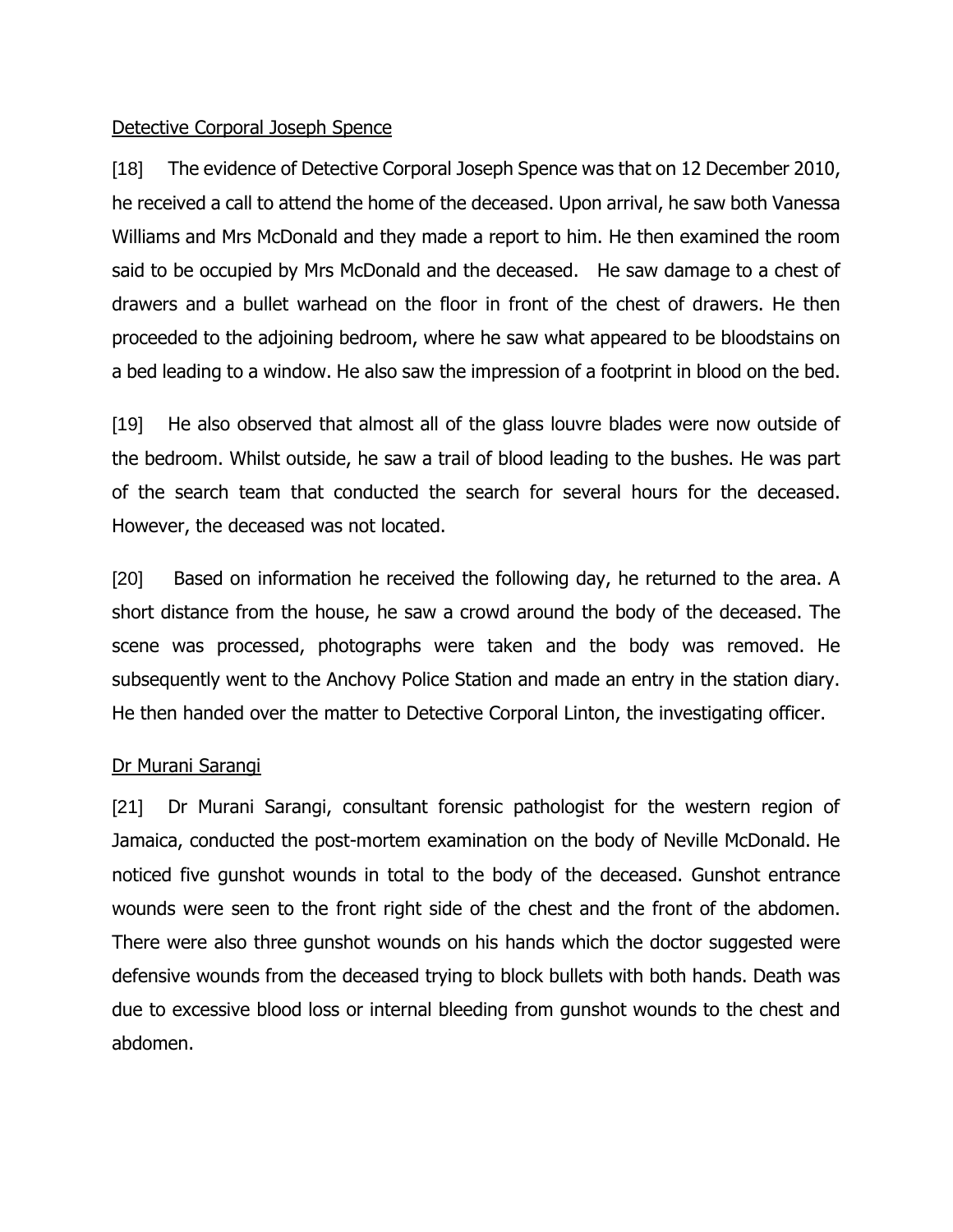### Detective Corporal Joseph Spence

[18] The evidence of Detective Corporal Joseph Spence was that on 12 December 2010, he received a call to attend the home of the deceased. Upon arrival, he saw both Vanessa Williams and Mrs McDonald and they made a report to him. He then examined the room said to be occupied by Mrs McDonald and the deceased. He saw damage to a chest of drawers and a bullet warhead on the floor in front of the chest of drawers. He then proceeded to the adjoining bedroom, where he saw what appeared to be bloodstains on a bed leading to a window. He also saw the impression of a footprint in blood on the bed.

[19] He also observed that almost all of the glass louvre blades were now outside of the bedroom. Whilst outside, he saw a trail of blood leading to the bushes. He was part of the search team that conducted the search for several hours for the deceased. However, the deceased was not located.

[20] Based on information he received the following day, he returned to the area. A short distance from the house, he saw a crowd around the body of the deceased. The scene was processed, photographs were taken and the body was removed. He subsequently went to the Anchovy Police Station and made an entry in the station diary. He then handed over the matter to Detective Corporal Linton, the investigating officer.

# Dr Murani Sarangi

[21] Dr Murani Sarangi, consultant forensic pathologist for the western region of Jamaica, conducted the post-mortem examination on the body of Neville McDonald. He noticed five gunshot wounds in total to the body of the deceased. Gunshot entrance wounds were seen to the front right side of the chest and the front of the abdomen. There were also three gunshot wounds on his hands which the doctor suggested were defensive wounds from the deceased trying to block bullets with both hands. Death was due to excessive blood loss or internal bleeding from gunshot wounds to the chest and abdomen.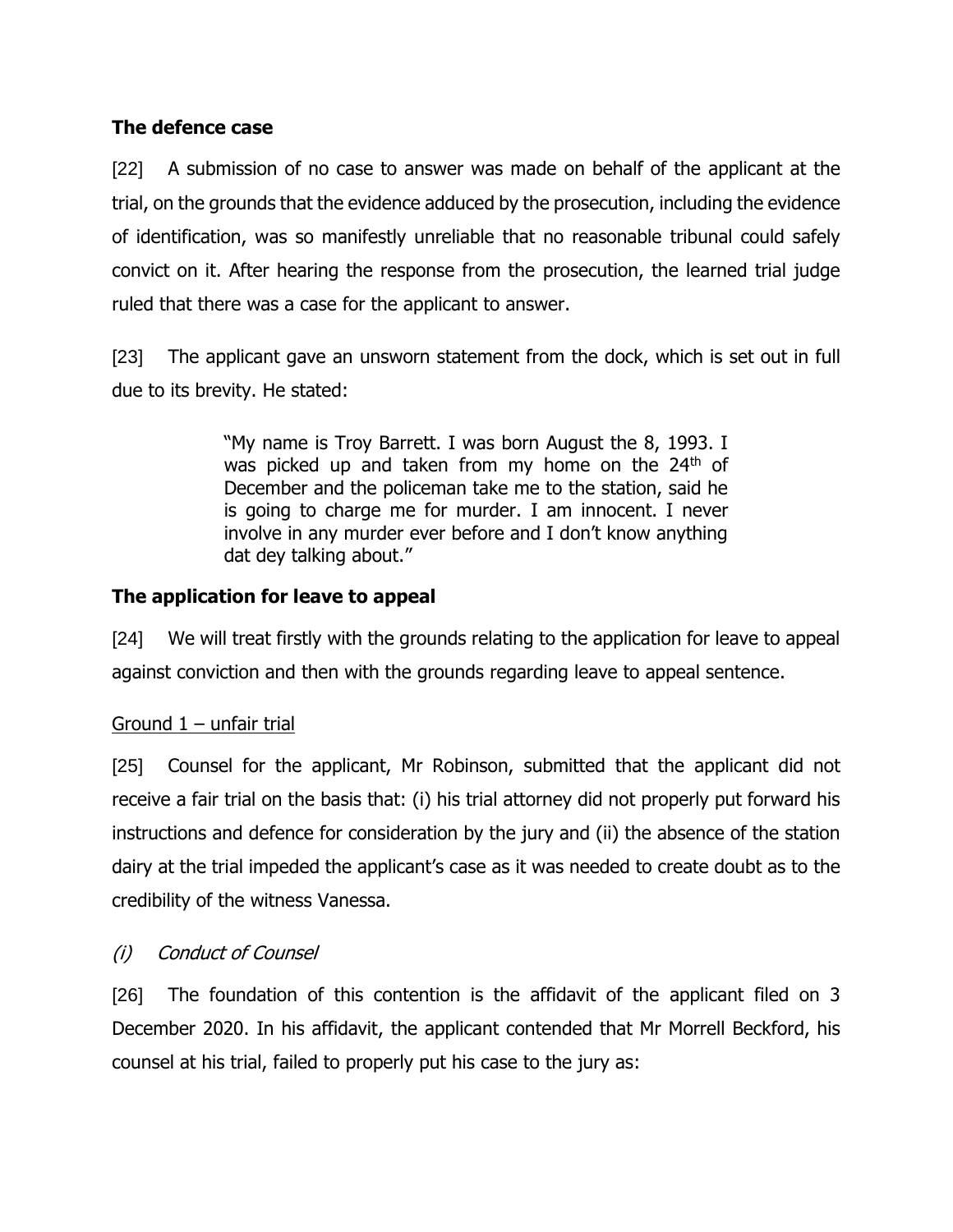# **The defence case**

[22] A submission of no case to answer was made on behalf of the applicant at the trial, on the grounds that the evidence adduced by the prosecution, including the evidence of identification, was so manifestly unreliable that no reasonable tribunal could safely convict on it. After hearing the response from the prosecution, the learned trial judge ruled that there was a case for the applicant to answer.

[23] The applicant gave an unsworn statement from the dock, which is set out in full due to its brevity. He stated:

> "My name is Troy Barrett. I was born August the 8, 1993. I was picked up and taken from my home on the 24<sup>th</sup> of December and the policeman take me to the station, said he is going to charge me for murder. I am innocent. I never involve in any murder ever before and I don't know anything dat dey talking about."

# **The application for leave to appeal**

[24] We will treat firstly with the grounds relating to the application for leave to appeal against conviction and then with the grounds regarding leave to appeal sentence.

# Ground  $1 -$  unfair trial

[25] Counsel for the applicant, Mr Robinson, submitted that the applicant did not receive a fair trial on the basis that: (i) his trial attorney did not properly put forward his instructions and defence for consideration by the jury and (ii) the absence of the station dairy at the trial impeded the applicant's case as it was needed to create doubt as to the credibility of the witness Vanessa.

# (i) Conduct of Counsel

[26] The foundation of this contention is the affidavit of the applicant filed on 3 December 2020. In his affidavit, the applicant contended that Mr Morrell Beckford, his counsel at his trial, failed to properly put his case to the jury as: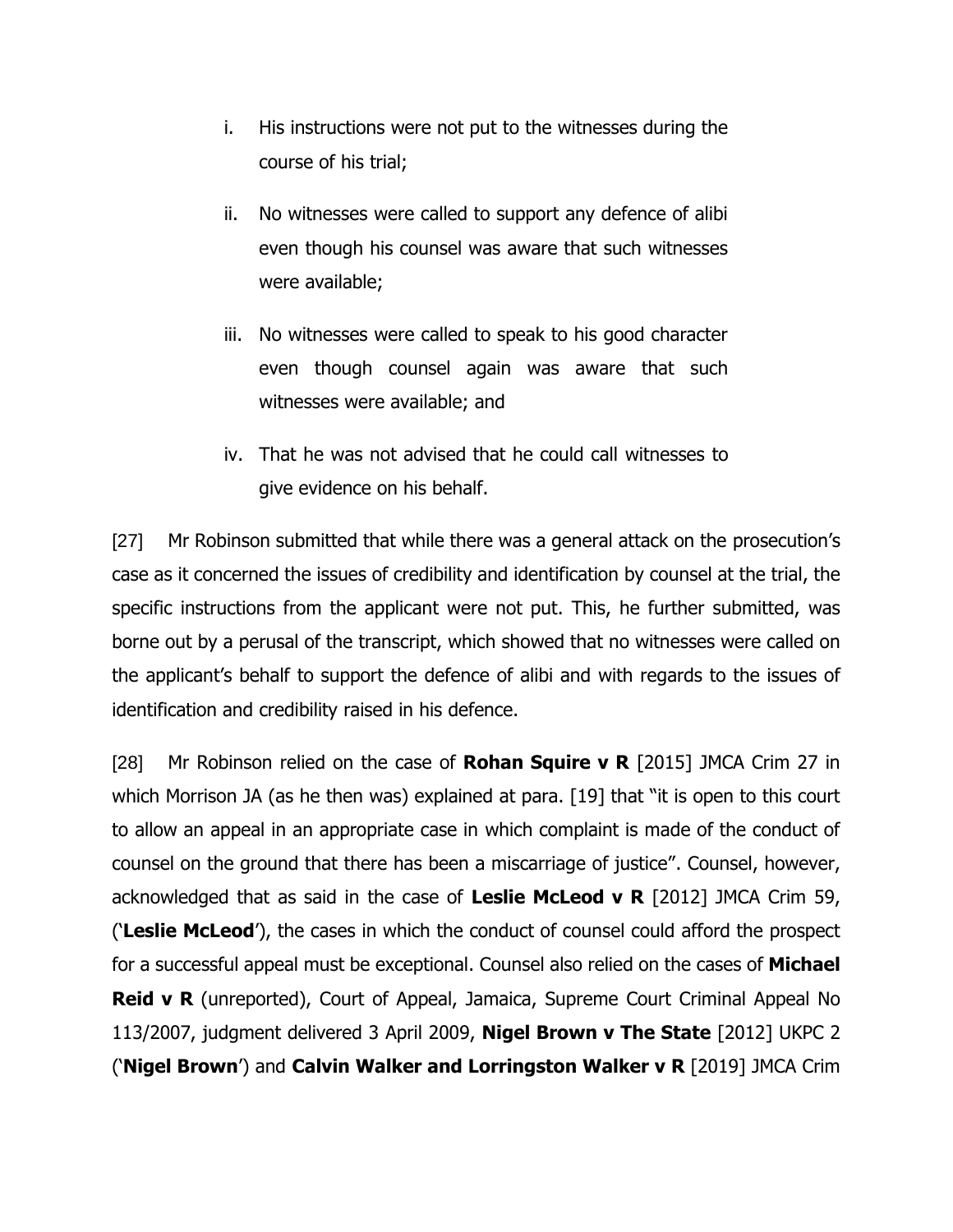- i. His instructions were not put to the witnesses during the course of his trial;
- ii. No witnesses were called to support any defence of alibi even though his counsel was aware that such witnesses were available;
- iii. No witnesses were called to speak to his good character even though counsel again was aware that such witnesses were available; and
- iv. That he was not advised that he could call witnesses to give evidence on his behalf.

[27] Mr Robinson submitted that while there was a general attack on the prosecution's case as it concerned the issues of credibility and identification by counsel at the trial, the specific instructions from the applicant were not put. This, he further submitted, was borne out by a perusal of the transcript, which showed that no witnesses were called on the applicant's behalf to support the defence of alibi and with regards to the issues of identification and credibility raised in his defence.

[28] Mr Robinson relied on the case of **Rohan Squire v R** [2015] JMCA Crim 27 in which Morrison JA (as he then was) explained at para. [19] that "it is open to this court to allow an appeal in an appropriate case in which complaint is made of the conduct of counsel on the ground that there has been a miscarriage of justice". Counsel, however, acknowledged that as said in the case of **Leslie McLeod v R** [2012] JMCA Crim 59, ('**Leslie McLeod**'), the cases in which the conduct of counsel could afford the prospect for a successful appeal must be exceptional. Counsel also relied on the cases of **Michael Reid v R** (unreported), Court of Appeal, Jamaica, Supreme Court Criminal Appeal No 113/2007, judgment delivered 3 April 2009, **Nigel Brown v The State** [2012] UKPC 2 ('**Nigel Brown**') and **Calvin Walker and Lorringston Walker v R** [2019] JMCA Crim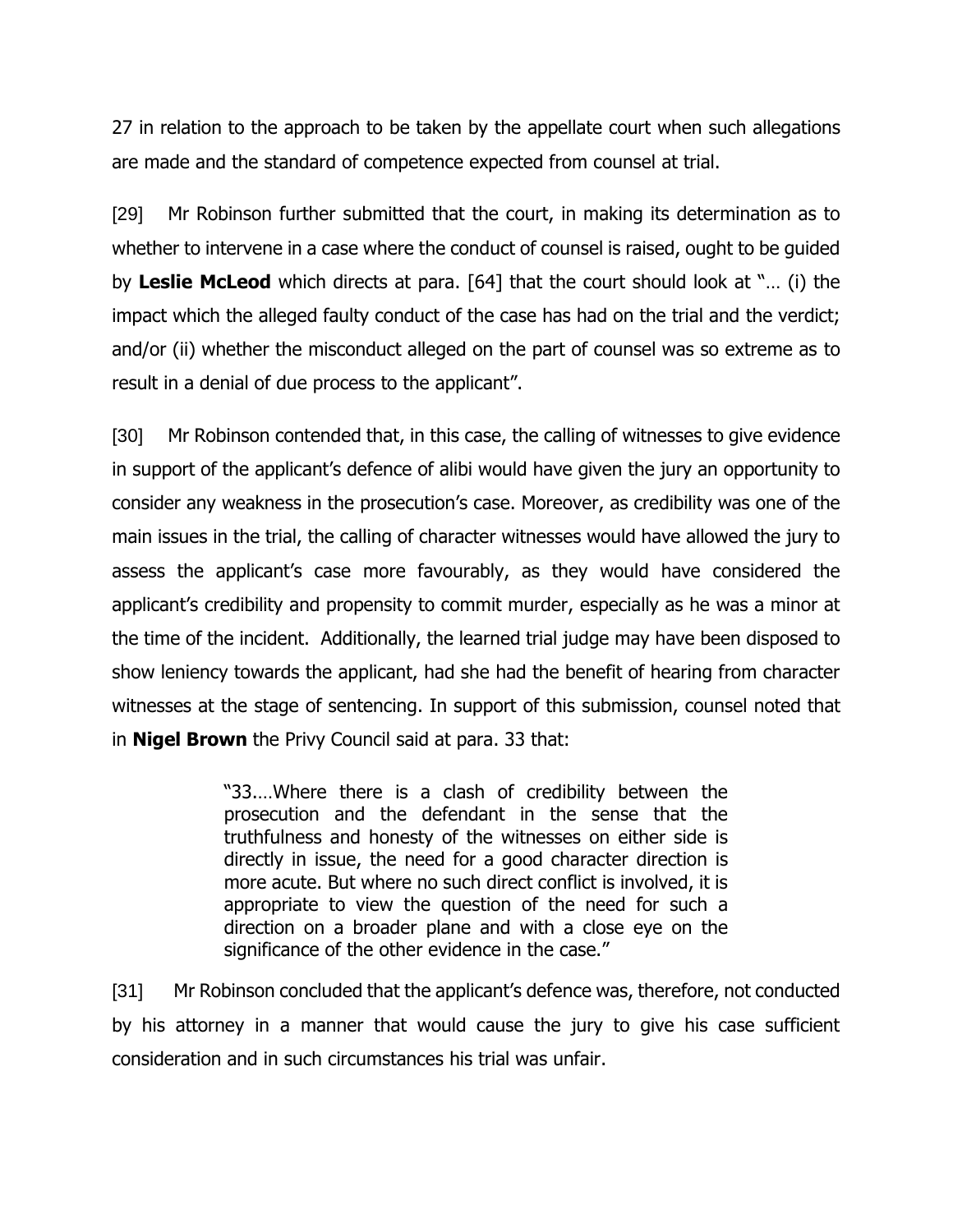27 in relation to the approach to be taken by the appellate court when such allegations are made and the standard of competence expected from counsel at trial.

[29] Mr Robinson further submitted that the court, in making its determination as to whether to intervene in a case where the conduct of counsel is raised, ought to be guided by **Leslie McLeod** which directs at para. [64] that the court should look at "… (i) the impact which the alleged faulty conduct of the case has had on the trial and the verdict; and/or (ii) whether the misconduct alleged on the part of counsel was so extreme as to result in a denial of due process to the applicant".

[30] Mr Robinson contended that, in this case, the calling of witnesses to give evidence in support of the applicant's defence of alibi would have given the jury an opportunity to consider any weakness in the prosecution's case. Moreover, as credibility was one of the main issues in the trial, the calling of character witnesses would have allowed the jury to assess the applicant's case more favourably, as they would have considered the applicant's credibility and propensity to commit murder, especially as he was a minor at the time of the incident. Additionally, the learned trial judge may have been disposed to show leniency towards the applicant, had she had the benefit of hearing from character witnesses at the stage of sentencing. In support of this submission, counsel noted that in **Nigel Brown** the Privy Council said at para. 33 that:

> "33.…Where there is a clash of credibility between the prosecution and the defendant in the sense that the truthfulness and honesty of the witnesses on either side is directly in issue, the need for a good character direction is more acute. But where no such direct conflict is involved, it is appropriate to view the question of the need for such a direction on a broader plane and with a close eye on the significance of the other evidence in the case."

[31] Mr Robinson concluded that the applicant's defence was, therefore, not conducted by his attorney in a manner that would cause the jury to give his case sufficient consideration and in such circumstances his trial was unfair.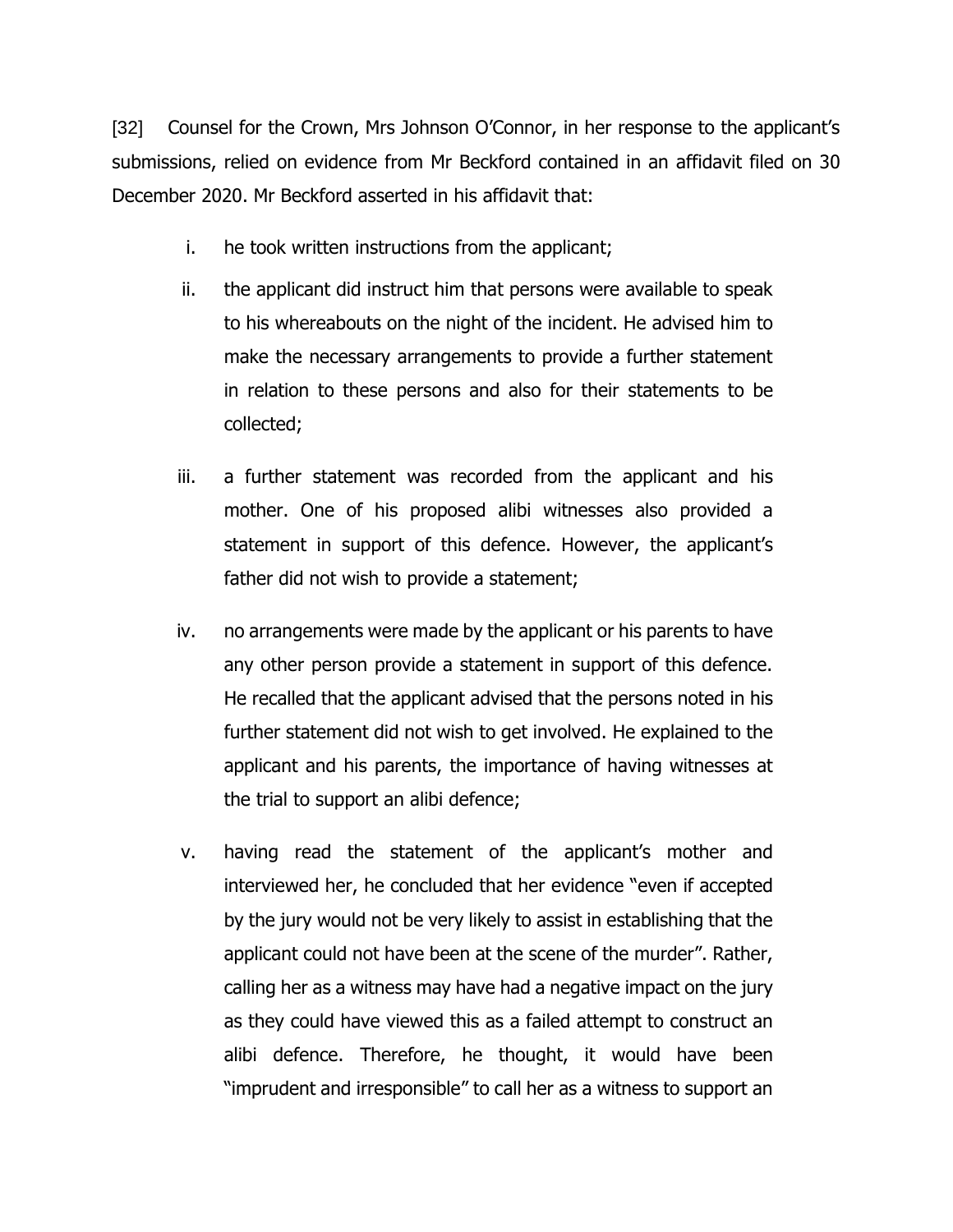[32] Counsel for the Crown, Mrs Johnson O'Connor, in her response to the applicant's submissions, relied on evidence from Mr Beckford contained in an affidavit filed on 30 December 2020. Mr Beckford asserted in his affidavit that:

- i. he took written instructions from the applicant;
- ii. the applicant did instruct him that persons were available to speak to his whereabouts on the night of the incident. He advised him to make the necessary arrangements to provide a further statement in relation to these persons and also for their statements to be collected;
- iii. a further statement was recorded from the applicant and his mother. One of his proposed alibi witnesses also provided a statement in support of this defence. However, the applicant's father did not wish to provide a statement;
- iv. no arrangements were made by the applicant or his parents to have any other person provide a statement in support of this defence. He recalled that the applicant advised that the persons noted in his further statement did not wish to get involved. He explained to the applicant and his parents, the importance of having witnesses at the trial to support an alibi defence;
- v. having read the statement of the applicant's mother and interviewed her, he concluded that her evidence "even if accepted by the jury would not be very likely to assist in establishing that the applicant could not have been at the scene of the murder". Rather, calling her as a witness may have had a negative impact on the jury as they could have viewed this as a failed attempt to construct an alibi defence. Therefore, he thought, it would have been "imprudent and irresponsible" to call her as a witness to support an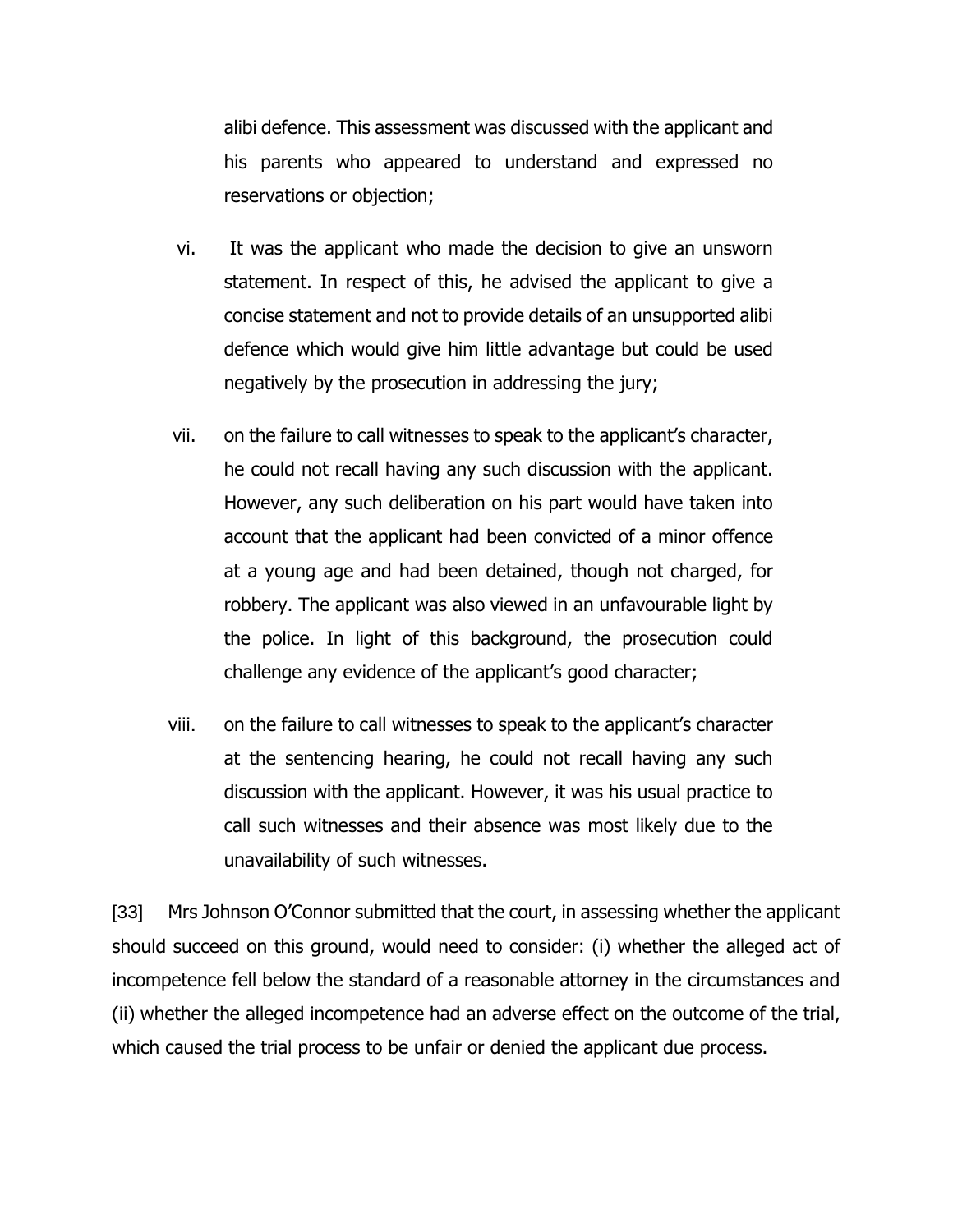alibi defence. This assessment was discussed with the applicant and his parents who appeared to understand and expressed no reservations or objection;

- vi. It was the applicant who made the decision to give an unsworn statement. In respect of this, he advised the applicant to give a concise statement and not to provide details of an unsupported alibi defence which would give him little advantage but could be used negatively by the prosecution in addressing the jury;
- vii. on the failure to call witnesses to speak to the applicant's character, he could not recall having any such discussion with the applicant. However, any such deliberation on his part would have taken into account that the applicant had been convicted of a minor offence at a young age and had been detained, though not charged, for robbery. The applicant was also viewed in an unfavourable light by the police. In light of this background, the prosecution could challenge any evidence of the applicant's good character;
- viii. on the failure to call witnesses to speak to the applicant's character at the sentencing hearing, he could not recall having any such discussion with the applicant. However, it was his usual practice to call such witnesses and their absence was most likely due to the unavailability of such witnesses.

[33] Mrs Johnson O'Connor submitted that the court, in assessing whether the applicant should succeed on this ground, would need to consider: (i) whether the alleged act of incompetence fell below the standard of a reasonable attorney in the circumstances and (ii) whether the alleged incompetence had an adverse effect on the outcome of the trial, which caused the trial process to be unfair or denied the applicant due process.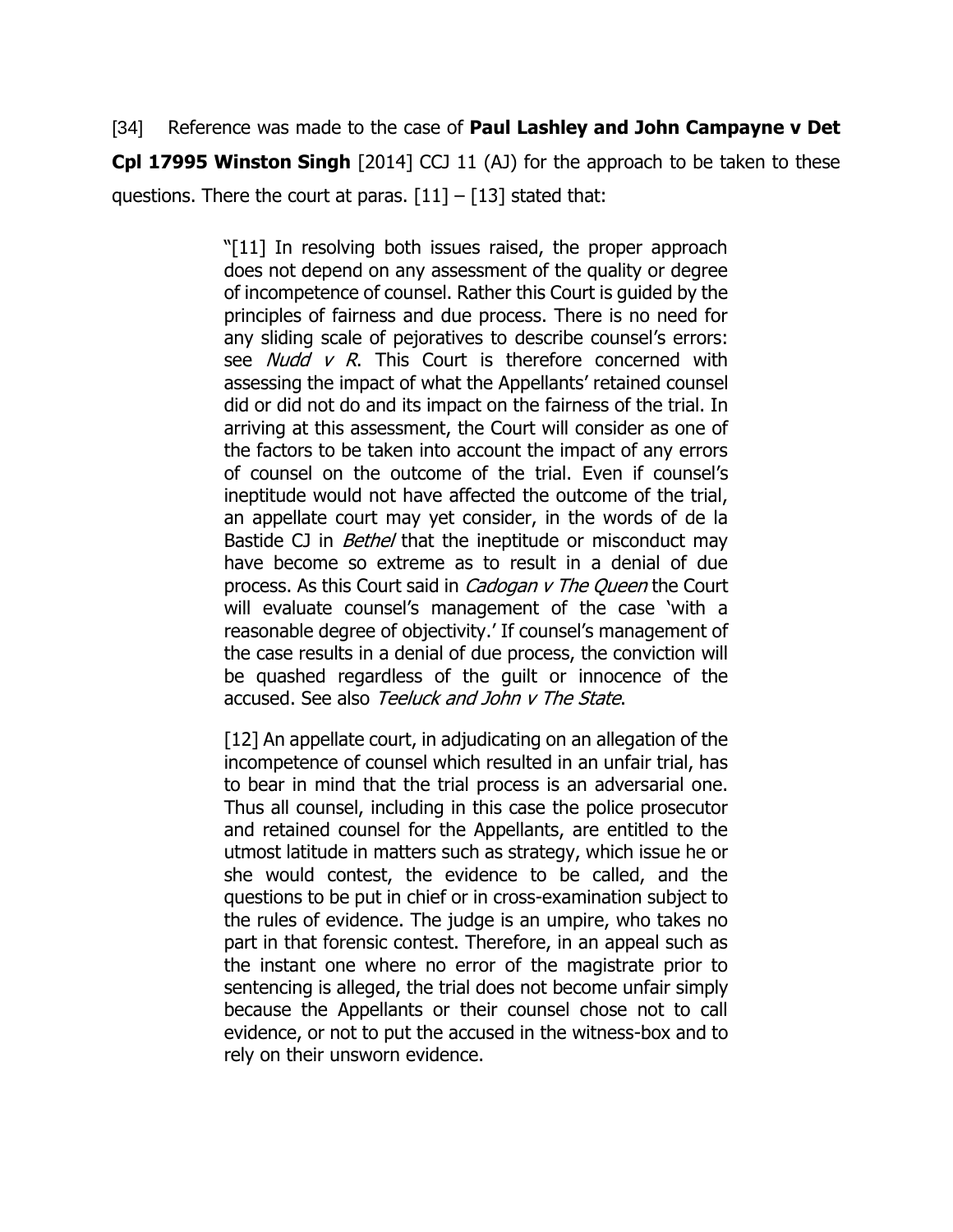[34] Reference was made to the case of **Paul Lashley and John Campayne v Det Cpl 17995 Winston Singh** [2014] CCJ 11 (AJ) for the approach to be taken to these questions. There the court at paras.  $\lceil 11 \rceil - \lceil 13 \rceil$  stated that:

> "[11] In resolving both issues raised, the proper approach does not depend on any assessment of the quality or degree of incompetence of counsel. Rather this Court is guided by the principles of fairness and due process. There is no need for any sliding scale of pejoratives to describe counsel's errors: see *Nudd v R*. This Court is therefore concerned with assessing the impact of what the Appellants' retained counsel did or did not do and its impact on the fairness of the trial. In arriving at this assessment, the Court will consider as one of the factors to be taken into account the impact of any errors of counsel on the outcome of the trial. Even if counsel's ineptitude would not have affected the outcome of the trial, an appellate court may yet consider, in the words of de la Bastide CJ in *Bethel* that the ineptitude or misconduct may have become so extreme as to result in a denial of due process. As this Court said in *Cadogan v The Queen* the Court will evaluate counsel's management of the case 'with a reasonable degree of objectivity.' If counsel's management of the case results in a denial of due process, the conviction will be quashed regardless of the guilt or innocence of the accused. See also Teeluck and John v The State.

> [12] An appellate court, in adjudicating on an allegation of the incompetence of counsel which resulted in an unfair trial, has to bear in mind that the trial process is an adversarial one. Thus all counsel, including in this case the police prosecutor and retained counsel for the Appellants, are entitled to the utmost latitude in matters such as strategy, which issue he or she would contest, the evidence to be called, and the questions to be put in chief or in cross-examination subject to the rules of evidence. The judge is an umpire, who takes no part in that forensic contest. Therefore, in an appeal such as the instant one where no error of the magistrate prior to sentencing is alleged, the trial does not become unfair simply because the Appellants or their counsel chose not to call evidence, or not to put the accused in the witness-box and to rely on their unsworn evidence.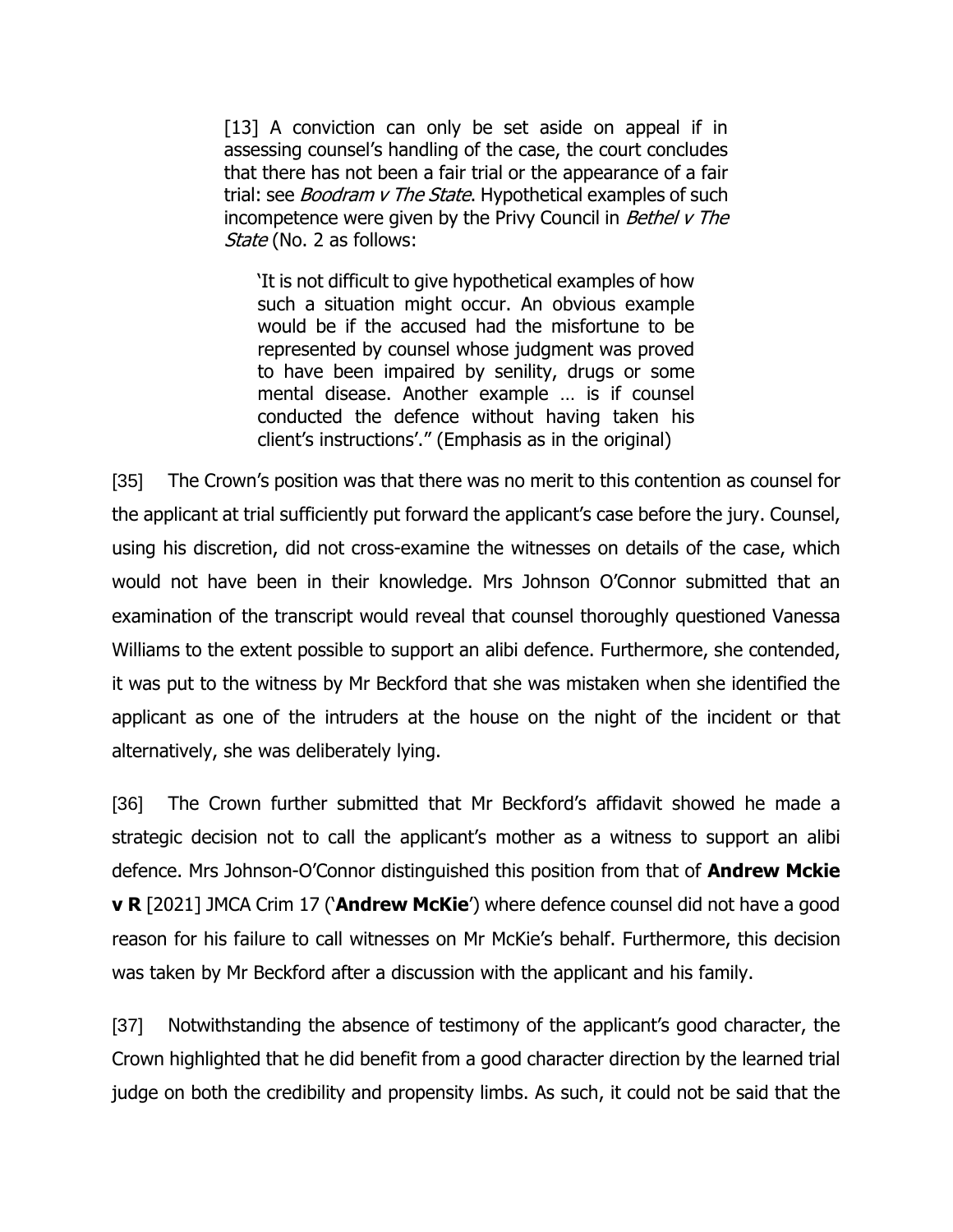[13] A conviction can only be set aside on appeal if in assessing counsel's handling of the case, the court concludes that there has not been a fair trial or the appearance of a fair trial: see *Boodram v The State*. Hypothetical examples of such incompetence were given by the Privy Council in *Bethel v The* State (No. 2 as follows:

'It is not difficult to give hypothetical examples of how such a situation might occur. An obvious example would be if the accused had the misfortune to be represented by counsel whose judgment was proved to have been impaired by senility, drugs or some mental disease. Another example … is if counsel conducted the defence without having taken his client's instructions'." (Emphasis as in the original)

[35] The Crown's position was that there was no merit to this contention as counsel for the applicant at trial sufficiently put forward the applicant's case before the jury. Counsel, using his discretion, did not cross-examine the witnesses on details of the case, which would not have been in their knowledge. Mrs Johnson O'Connor submitted that an examination of the transcript would reveal that counsel thoroughly questioned Vanessa Williams to the extent possible to support an alibi defence. Furthermore, she contended, it was put to the witness by Mr Beckford that she was mistaken when she identified the applicant as one of the intruders at the house on the night of the incident or that alternatively, she was deliberately lying.

[36] The Crown further submitted that Mr Beckford's affidavit showed he made a strategic decision not to call the applicant's mother as a witness to support an alibi defence. Mrs Johnson-O'Connor distinguished this position from that of **Andrew Mckie v R** [2021] JMCA Crim 17 ('**Andrew McKie**') where defence counsel did not have a good reason for his failure to call witnesses on Mr McKie's behalf. Furthermore, this decision was taken by Mr Beckford after a discussion with the applicant and his family.

[37] Notwithstanding the absence of testimony of the applicant's good character, the Crown highlighted that he did benefit from a good character direction by the learned trial judge on both the credibility and propensity limbs. As such, it could not be said that the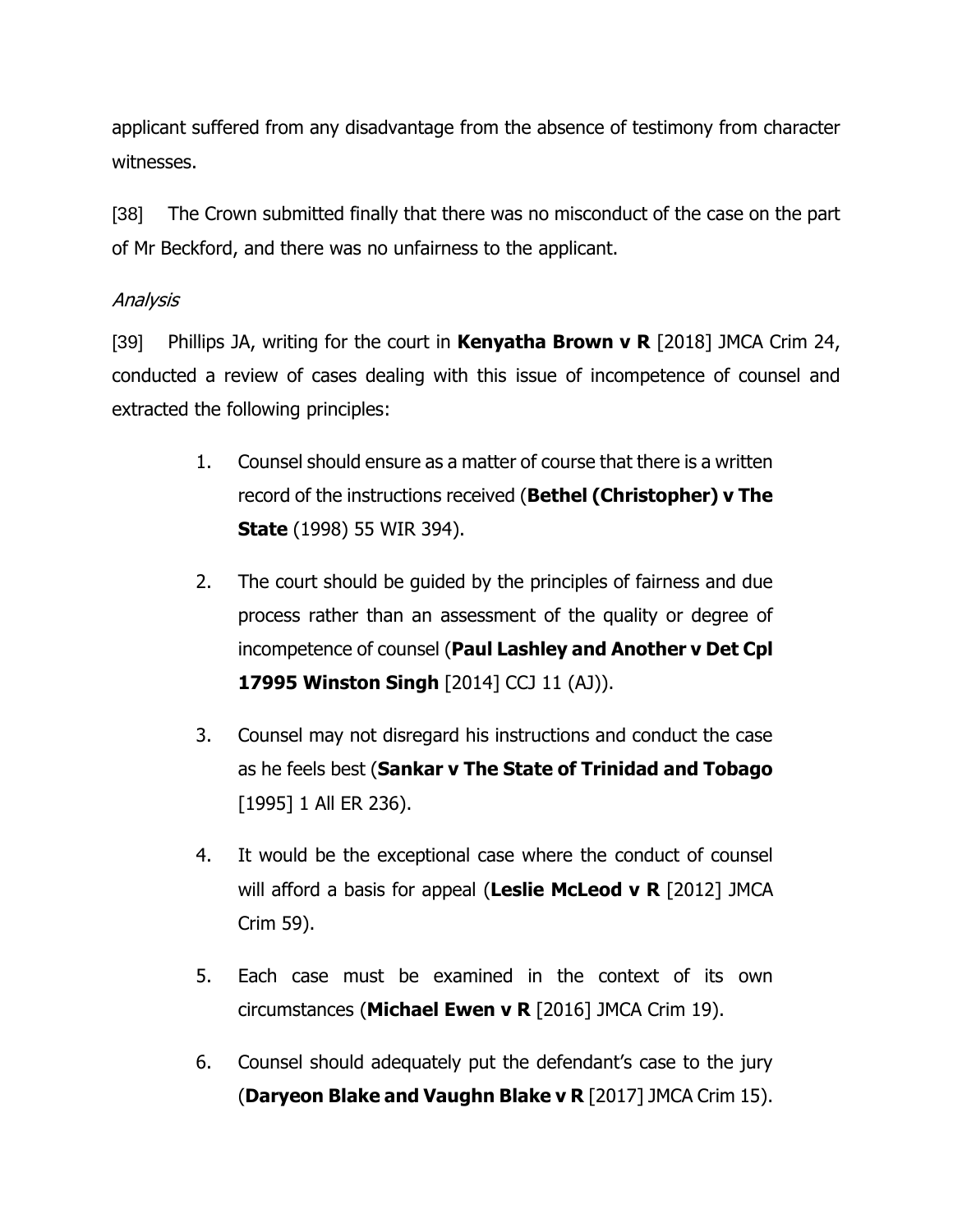applicant suffered from any disadvantage from the absence of testimony from character witnesses.

[38] The Crown submitted finally that there was no misconduct of the case on the part of Mr Beckford, and there was no unfairness to the applicant.

# Analysis

[39] Phillips JA, writing for the court in **Kenyatha Brown v R** [2018] JMCA Crim 24, conducted a review of cases dealing with this issue of incompetence of counsel and extracted the following principles:

- 1. Counsel should ensure as a matter of course that there is a written record of the instructions received (**Bethel (Christopher) v The State** (1998) 55 WIR 394).
- 2. The court should be guided by the principles of fairness and due process rather than an assessment of the quality or degree of incompetence of counsel (**Paul Lashley and Another v Det Cpl 17995 Winston Singh** [2014] CCJ 11 (AJ)).
- 3. Counsel may not disregard his instructions and conduct the case as he feels best (**Sankar v The State of Trinidad and Tobago**  [1995] 1 All ER 236).
- 4. It would be the exceptional case where the conduct of counsel will afford a basis for appeal (**Leslie McLeod v R** [2012] JMCA Crim 59).
- 5. Each case must be examined in the context of its own circumstances (**Michael Ewen v R** [2016] JMCA Crim 19).
- 6. Counsel should adequately put the defendant's case to the jury (**Daryeon Blake and Vaughn Blake v R** [2017] JMCA Crim 15).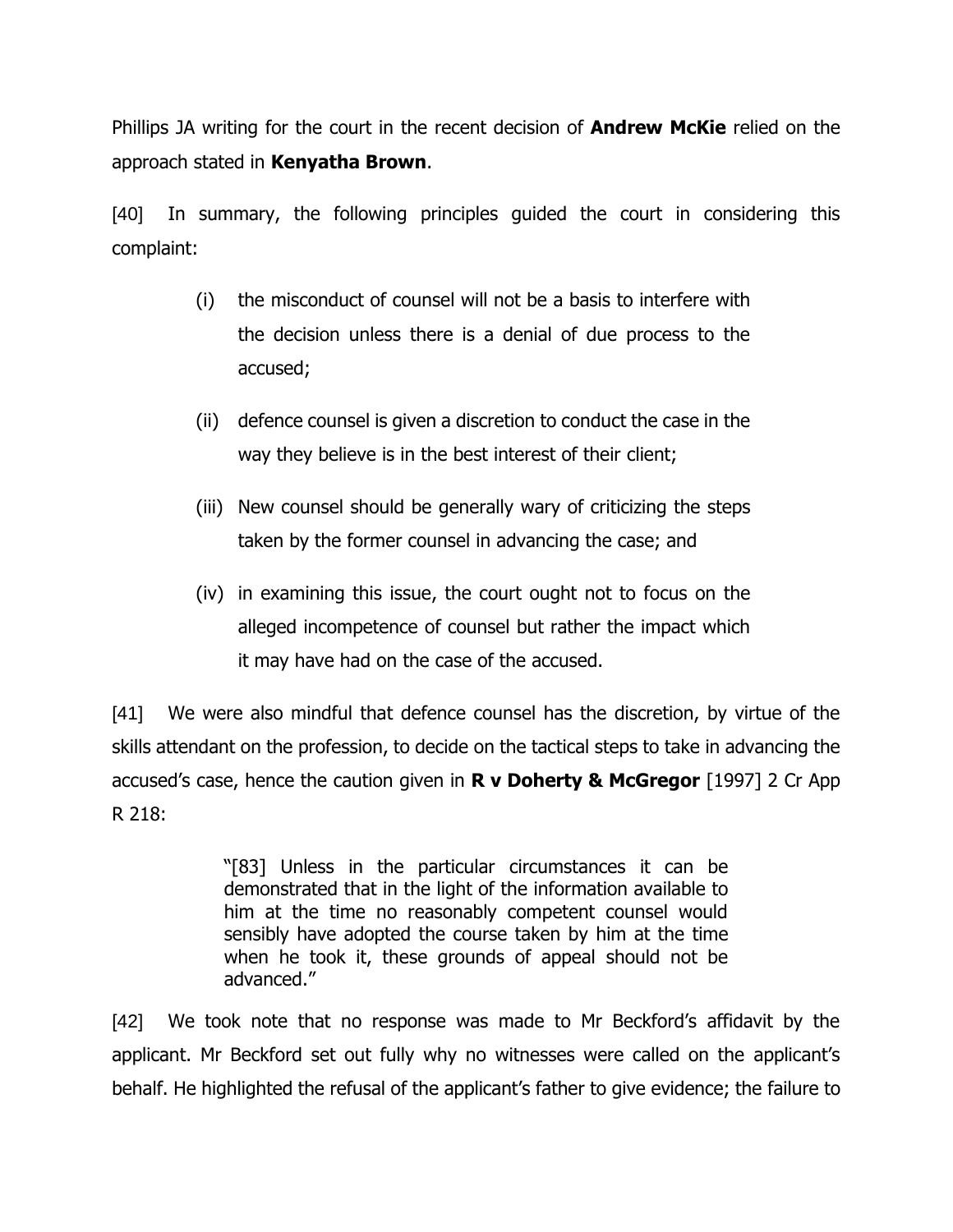Phillips JA writing for the court in the recent decision of **Andrew McKie** relied on the approach stated in **Kenyatha Brown**.

[40] In summary, the following principles guided the court in considering this complaint:

- (i) the misconduct of counsel will not be a basis to interfere with the decision unless there is a denial of due process to the accused;
- (ii) defence counsel is given a discretion to conduct the case in the way they believe is in the best interest of their client;
- (iii) New counsel should be generally wary of criticizing the steps taken by the former counsel in advancing the case; and
- (iv) in examining this issue, the court ought not to focus on the alleged incompetence of counsel but rather the impact which it may have had on the case of the accused.

[41] We were also mindful that defence counsel has the discretion, by virtue of the skills attendant on the profession, to decide on the tactical steps to take in advancing the accused's case, hence the caution given in **R v Doherty & McGregor** [1997] 2 Cr App R 218:

> "[83] Unless in the particular circumstances it can be demonstrated that in the light of the information available to him at the time no reasonably competent counsel would sensibly have adopted the course taken by him at the time when he took it, these grounds of appeal should not be advanced."

[42] We took note that no response was made to Mr Beckford's affidavit by the applicant. Mr Beckford set out fully why no witnesses were called on the applicant's behalf. He highlighted the refusal of the applicant's father to give evidence; the failure to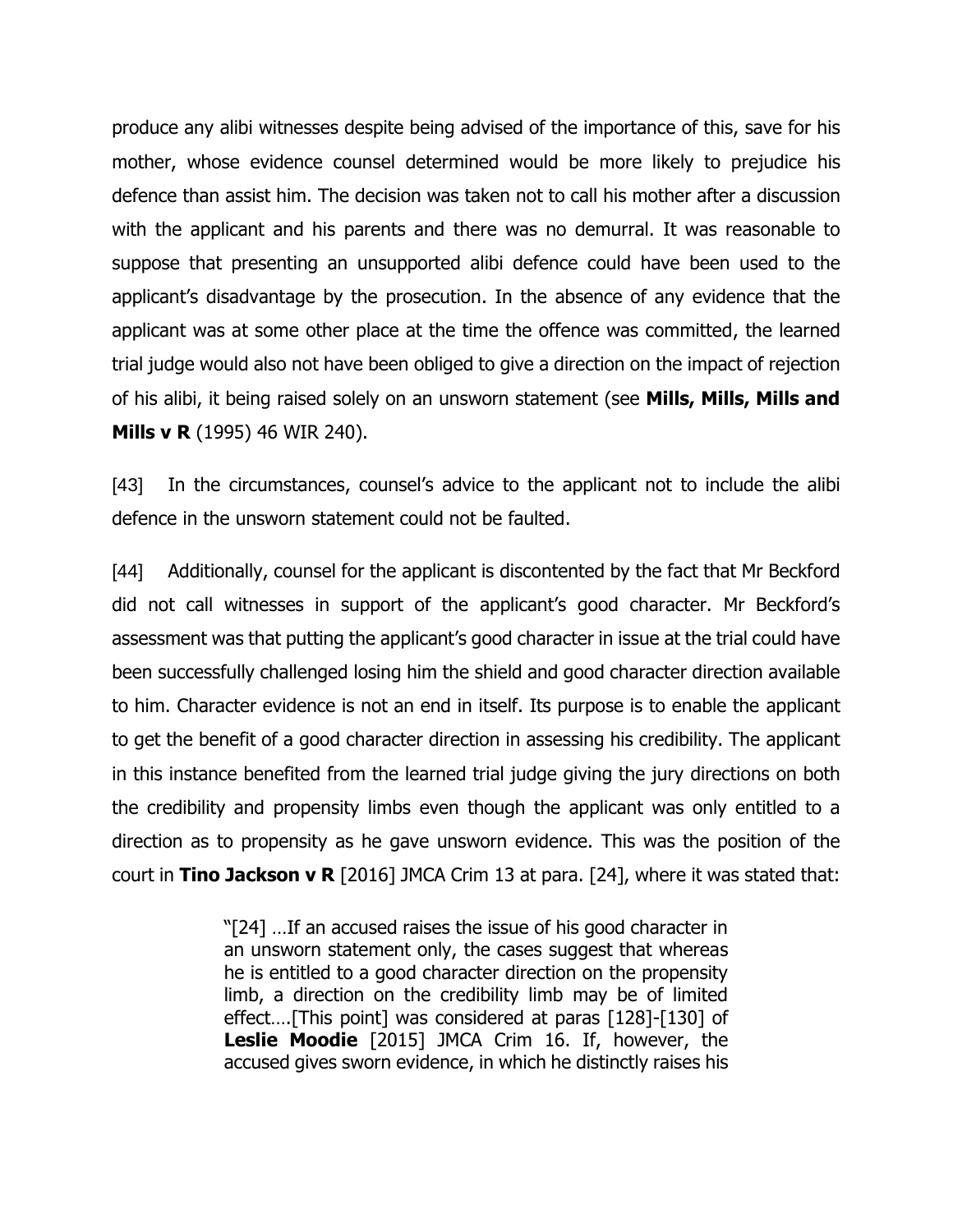produce any alibi witnesses despite being advised of the importance of this, save for his mother, whose evidence counsel determined would be more likely to prejudice his defence than assist him. The decision was taken not to call his mother after a discussion with the applicant and his parents and there was no demurral. It was reasonable to suppose that presenting an unsupported alibi defence could have been used to the applicant's disadvantage by the prosecution. In the absence of any evidence that the applicant was at some other place at the time the offence was committed, the learned trial judge would also not have been obliged to give a direction on the impact of rejection of his alibi, it being raised solely on an unsworn statement (see **Mills, Mills, Mills and Mills v R** (1995) 46 WIR 240).

[43] In the circumstances, counsel's advice to the applicant not to include the alibi defence in the unsworn statement could not be faulted.

[44] Additionally, counsel for the applicant is discontented by the fact that Mr Beckford did not call witnesses in support of the applicant's good character. Mr Beckford's assessment was that putting the applicant's good character in issue at the trial could have been successfully challenged losing him the shield and good character direction available to him. Character evidence is not an end in itself. Its purpose is to enable the applicant to get the benefit of a good character direction in assessing his credibility. The applicant in this instance benefited from the learned trial judge giving the jury directions on both the credibility and propensity limbs even though the applicant was only entitled to a direction as to propensity as he gave unsworn evidence. This was the position of the court in **Tino Jackson v R** [2016] JMCA Crim 13 at para. [24], where it was stated that:

> "[24] …If an accused raises the issue of his good character in an unsworn statement only, the cases suggest that whereas he is entitled to a good character direction on the propensity limb, a direction on the credibility limb may be of limited effect….[This point] was considered at paras [128]-[130] of **Leslie Moodie** [2015] JMCA Crim 16. If, however, the accused gives sworn evidence, in which he distinctly raises his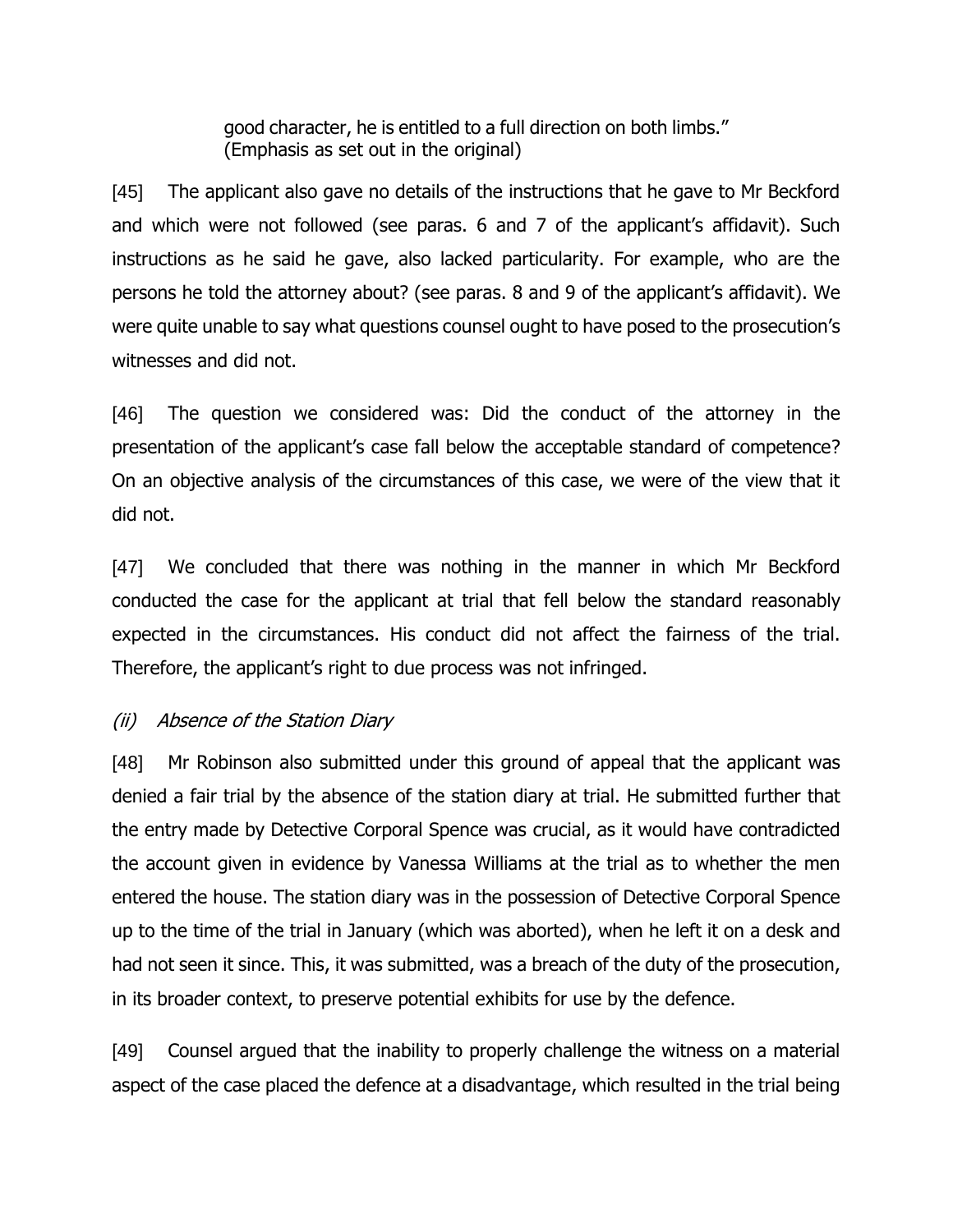good character, he is entitled to a full direction on both limbs." (Emphasis as set out in the original)

[45] The applicant also gave no details of the instructions that he gave to Mr Beckford and which were not followed (see paras. 6 and 7 of the applicant's affidavit). Such instructions as he said he gave, also lacked particularity. For example, who are the persons he told the attorney about? (see paras. 8 and 9 of the applicant's affidavit). We were quite unable to say what questions counsel ought to have posed to the prosecution's witnesses and did not.

[46] The question we considered was: Did the conduct of the attorney in the presentation of the applicant's case fall below the acceptable standard of competence? On an objective analysis of the circumstances of this case, we were of the view that it did not.

[47] We concluded that there was nothing in the manner in which Mr Beckford conducted the case for the applicant at trial that fell below the standard reasonably expected in the circumstances. His conduct did not affect the fairness of the trial. Therefore, the applicant's right to due process was not infringed.

# (ii) Absence of the Station Diary

[48] Mr Robinson also submitted under this ground of appeal that the applicant was denied a fair trial by the absence of the station diary at trial. He submitted further that the entry made by Detective Corporal Spence was crucial, as it would have contradicted the account given in evidence by Vanessa Williams at the trial as to whether the men entered the house. The station diary was in the possession of Detective Corporal Spence up to the time of the trial in January (which was aborted), when he left it on a desk and had not seen it since. This, it was submitted, was a breach of the duty of the prosecution, in its broader context, to preserve potential exhibits for use by the defence.

[49] Counsel argued that the inability to properly challenge the witness on a material aspect of the case placed the defence at a disadvantage, which resulted in the trial being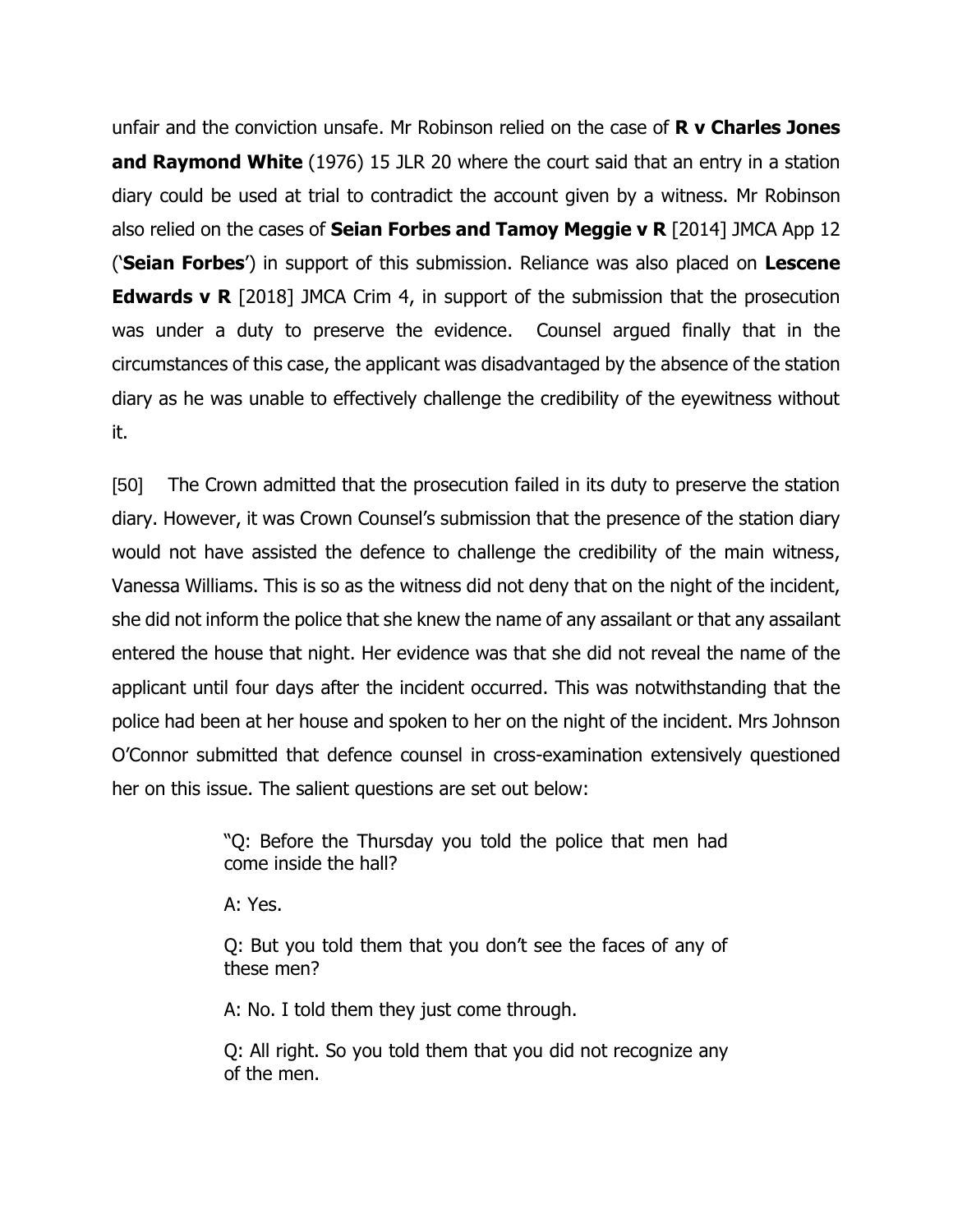unfair and the conviction unsafe. Mr Robinson relied on the case of **R v Charles Jones and Raymond White** (1976) 15 JLR 20 where the court said that an entry in a station diary could be used at trial to contradict the account given by a witness. Mr Robinson also relied on the cases of **Seian Forbes and Tamoy Meggie v R** [2014] JMCA App 12 ('**Seian Forbes**') in support of this submission. Reliance was also placed on **Lescene Edwards v R** [2018] JMCA Crim 4, in support of the submission that the prosecution was under a duty to preserve the evidence. Counsel argued finally that in the circumstances of this case, the applicant was disadvantaged by the absence of the station diary as he was unable to effectively challenge the credibility of the eyewitness without it.

[50] The Crown admitted that the prosecution failed in its duty to preserve the station diary. However, it was Crown Counsel's submission that the presence of the station diary would not have assisted the defence to challenge the credibility of the main witness, Vanessa Williams. This is so as the witness did not deny that on the night of the incident, she did not inform the police that she knew the name of any assailant or that any assailant entered the house that night. Her evidence was that she did not reveal the name of the applicant until four days after the incident occurred. This was notwithstanding that the police had been at her house and spoken to her on the night of the incident. Mrs Johnson O'Connor submitted that defence counsel in cross-examination extensively questioned her on this issue. The salient questions are set out below:

> "Q: Before the Thursday you told the police that men had come inside the hall?

A: Yes.

Q: But you told them that you don't see the faces of any of these men?

A: No. I told them they just come through.

Q: All right. So you told them that you did not recognize any of the men.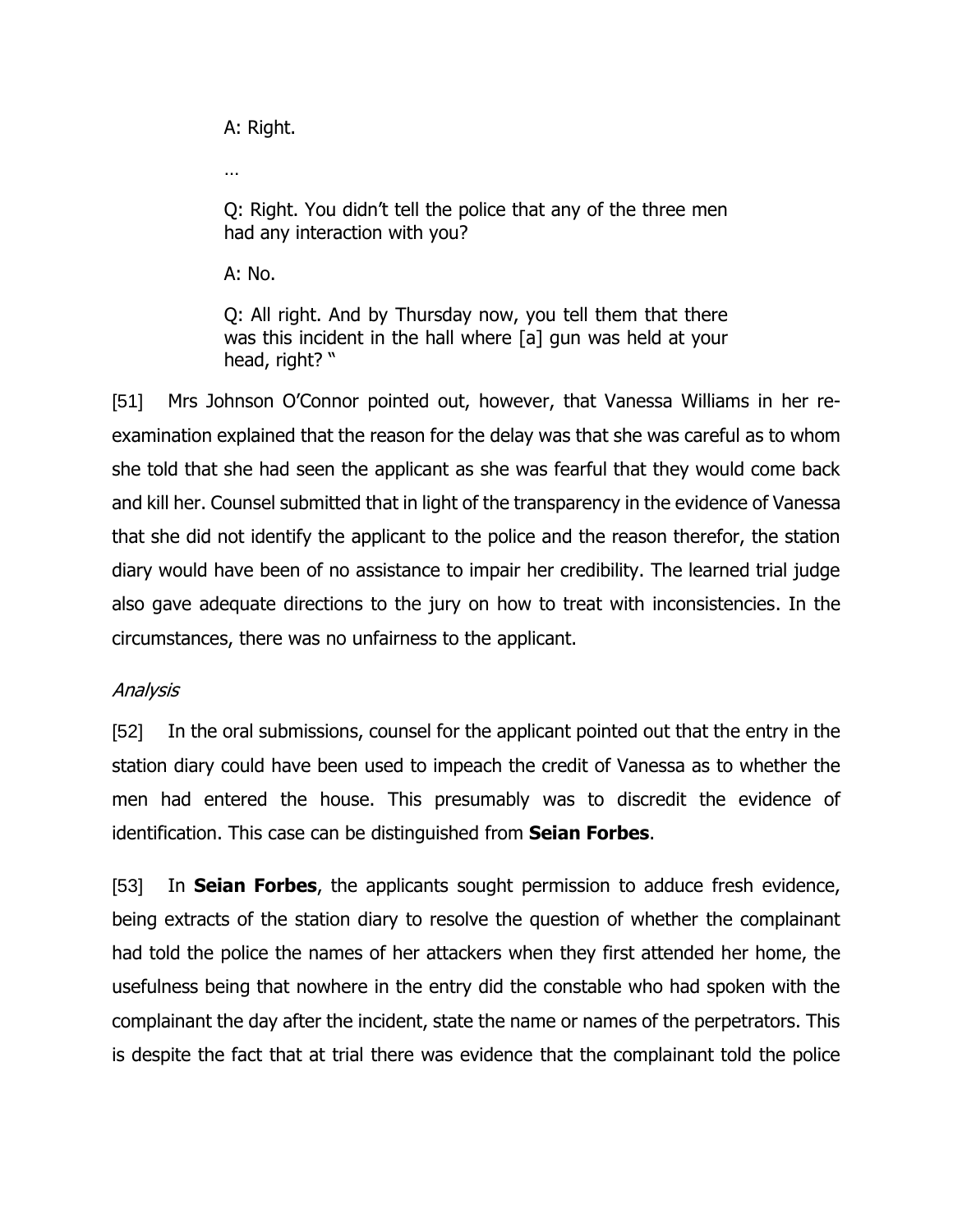A: Right.

…

Q: Right. You didn't tell the police that any of the three men had any interaction with you?

A: No.

Q: All right. And by Thursday now, you tell them that there was this incident in the hall where [a] gun was held at your head, right? "

[51] Mrs Johnson O'Connor pointed out, however, that Vanessa Williams in her reexamination explained that the reason for the delay was that she was careful as to whom she told that she had seen the applicant as she was fearful that they would come back and kill her. Counsel submitted that in light of the transparency in the evidence of Vanessa that she did not identify the applicant to the police and the reason therefor, the station diary would have been of no assistance to impair her credibility. The learned trial judge also gave adequate directions to the jury on how to treat with inconsistencies. In the circumstances, there was no unfairness to the applicant.

# Analysis

[52] In the oral submissions, counsel for the applicant pointed out that the entry in the station diary could have been used to impeach the credit of Vanessa as to whether the men had entered the house. This presumably was to discredit the evidence of identification. This case can be distinguished from **Seian Forbes**.

[53] In **Seian Forbes**, the applicants sought permission to adduce fresh evidence, being extracts of the station diary to resolve the question of whether the complainant had told the police the names of her attackers when they first attended her home, the usefulness being that nowhere in the entry did the constable who had spoken with the complainant the day after the incident, state the name or names of the perpetrators. This is despite the fact that at trial there was evidence that the complainant told the police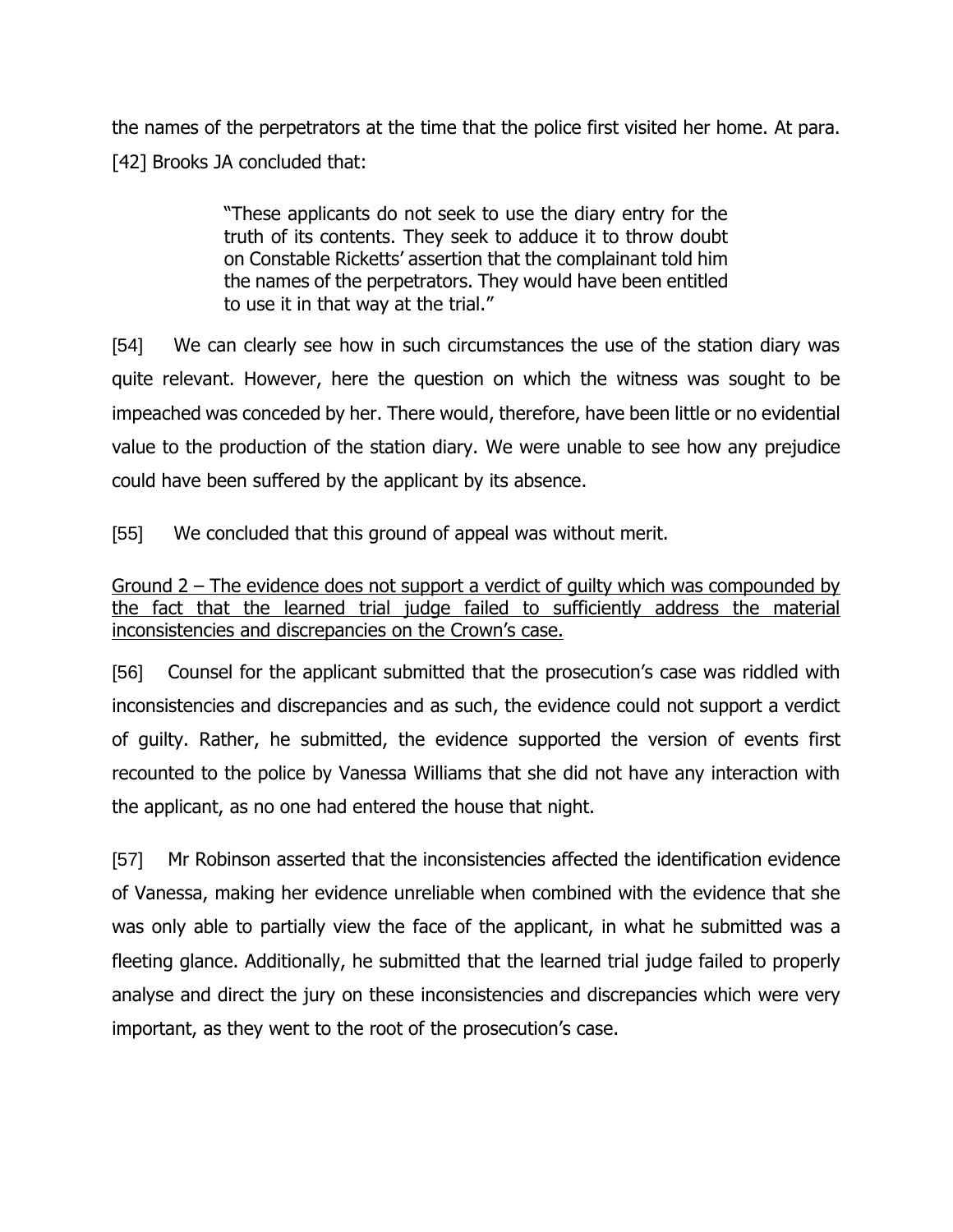the names of the perpetrators at the time that the police first visited her home. At para. [42] Brooks JA concluded that:

> "These applicants do not seek to use the diary entry for the truth of its contents. They seek to adduce it to throw doubt on Constable Ricketts' assertion that the complainant told him the names of the perpetrators. They would have been entitled to use it in that way at the trial."

[54] We can clearly see how in such circumstances the use of the station diary was quite relevant. However, here the question on which the witness was sought to be impeached was conceded by her. There would, therefore, have been little or no evidential value to the production of the station diary. We were unable to see how any prejudice could have been suffered by the applicant by its absence.

[55] We concluded that this ground of appeal was without merit.

Ground 2 – The evidence does not support a verdict of guilty which was compounded by the fact that the learned trial judge failed to sufficiently address the material inconsistencies and discrepancies on the Crown's case.

[56] Counsel for the applicant submitted that the prosecution's case was riddled with inconsistencies and discrepancies and as such, the evidence could not support a verdict of guilty. Rather, he submitted, the evidence supported the version of events first recounted to the police by Vanessa Williams that she did not have any interaction with the applicant, as no one had entered the house that night.

[57] Mr Robinson asserted that the inconsistencies affected the identification evidence of Vanessa, making her evidence unreliable when combined with the evidence that she was only able to partially view the face of the applicant, in what he submitted was a fleeting glance. Additionally, he submitted that the learned trial judge failed to properly analyse and direct the jury on these inconsistencies and discrepancies which were very important, as they went to the root of the prosecution's case.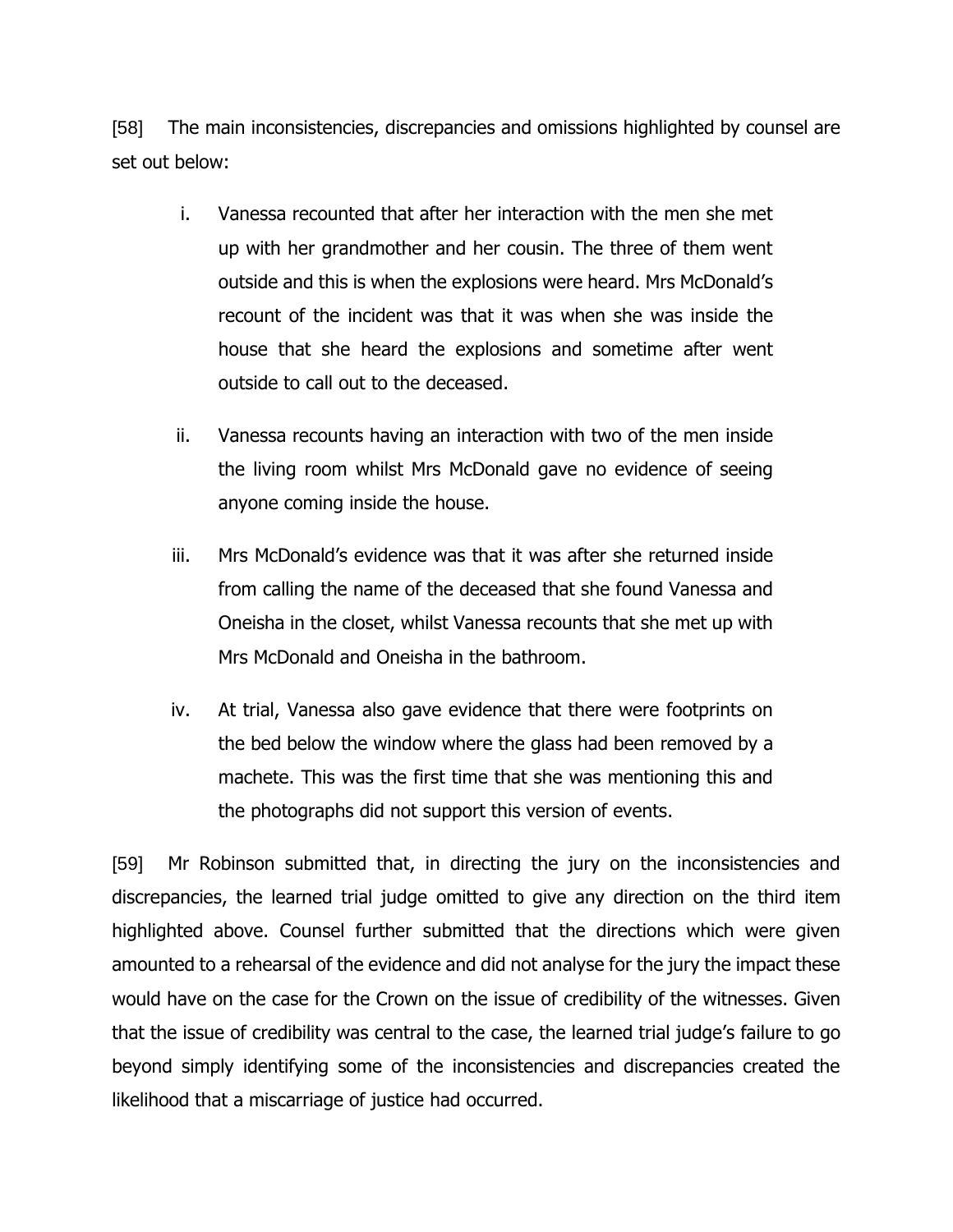[58] The main inconsistencies, discrepancies and omissions highlighted by counsel are set out below:

- i. Vanessa recounted that after her interaction with the men she met up with her grandmother and her cousin. The three of them went outside and this is when the explosions were heard. Mrs McDonald's recount of the incident was that it was when she was inside the house that she heard the explosions and sometime after went outside to call out to the deceased.
- ii. Vanessa recounts having an interaction with two of the men inside the living room whilst Mrs McDonald gave no evidence of seeing anyone coming inside the house.
- iii. Mrs McDonald's evidence was that it was after she returned inside from calling the name of the deceased that she found Vanessa and Oneisha in the closet, whilst Vanessa recounts that she met up with Mrs McDonald and Oneisha in the bathroom.
- iv. At trial, Vanessa also gave evidence that there were footprints on the bed below the window where the glass had been removed by a machete. This was the first time that she was mentioning this and the photographs did not support this version of events.

[59] Mr Robinson submitted that, in directing the jury on the inconsistencies and discrepancies, the learned trial judge omitted to give any direction on the third item highlighted above. Counsel further submitted that the directions which were given amounted to a rehearsal of the evidence and did not analyse for the jury the impact these would have on the case for the Crown on the issue of credibility of the witnesses. Given that the issue of credibility was central to the case, the learned trial judge's failure to go beyond simply identifying some of the inconsistencies and discrepancies created the likelihood that a miscarriage of justice had occurred.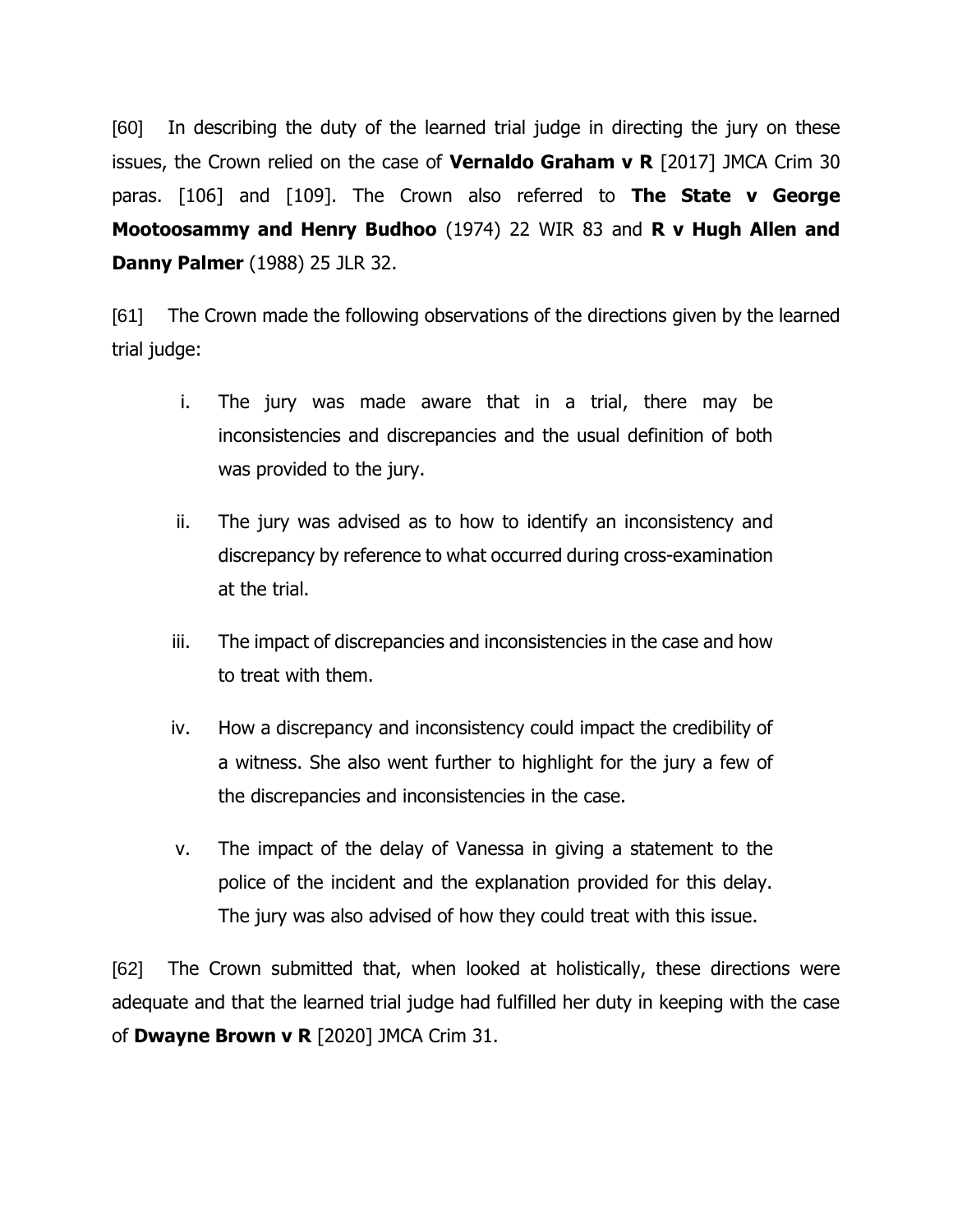[60] In describing the duty of the learned trial judge in directing the jury on these issues, the Crown relied on the case of **Vernaldo Graham v R** [2017] JMCA Crim 30 paras. [106] and [109]. The Crown also referred to **The State v George Mootoosammy and Henry Budhoo** (1974) 22 WIR 83 and **R v Hugh Allen and Danny Palmer** (1988) 25 JLR 32.

[61] The Crown made the following observations of the directions given by the learned trial judge:

- i. The jury was made aware that in a trial, there may be inconsistencies and discrepancies and the usual definition of both was provided to the jury.
- ii. The jury was advised as to how to identify an inconsistency and discrepancy by reference to what occurred during cross-examination at the trial.
- iii. The impact of discrepancies and inconsistencies in the case and how to treat with them.
- iv. How a discrepancy and inconsistency could impact the credibility of a witness. She also went further to highlight for the jury a few of the discrepancies and inconsistencies in the case.
- v. The impact of the delay of Vanessa in giving a statement to the police of the incident and the explanation provided for this delay. The jury was also advised of how they could treat with this issue.

[62] The Crown submitted that, when looked at holistically, these directions were adequate and that the learned trial judge had fulfilled her duty in keeping with the case of **Dwayne Brown v R** [2020] JMCA Crim 31.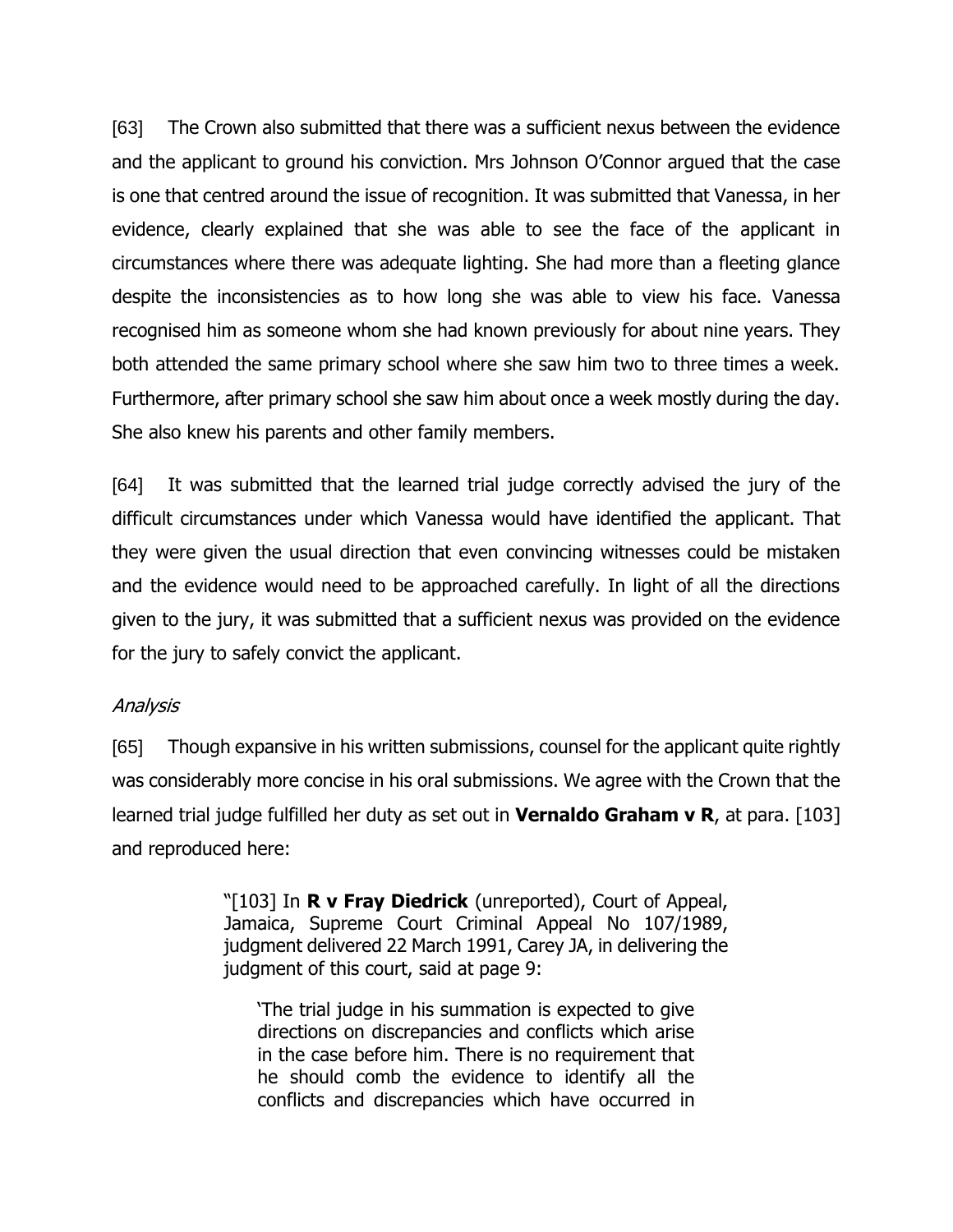[63] The Crown also submitted that there was a sufficient nexus between the evidence and the applicant to ground his conviction. Mrs Johnson O'Connor argued that the case is one that centred around the issue of recognition. It was submitted that Vanessa, in her evidence, clearly explained that she was able to see the face of the applicant in circumstances where there was adequate lighting. She had more than a fleeting glance despite the inconsistencies as to how long she was able to view his face. Vanessa recognised him as someone whom she had known previously for about nine years. They both attended the same primary school where she saw him two to three times a week. Furthermore, after primary school she saw him about once a week mostly during the day. She also knew his parents and other family members.

[64] It was submitted that the learned trial judge correctly advised the jury of the difficult circumstances under which Vanessa would have identified the applicant. That they were given the usual direction that even convincing witnesses could be mistaken and the evidence would need to be approached carefully. In light of all the directions given to the jury, it was submitted that a sufficient nexus was provided on the evidence for the jury to safely convict the applicant.

#### Analysis

[65] Though expansive in his written submissions, counsel for the applicant quite rightly was considerably more concise in his oral submissions. We agree with the Crown that the learned trial judge fulfilled her duty as set out in **Vernaldo Graham v R**, at para. [103] and reproduced here:

> "[103] In **R v Fray Diedrick** (unreported), Court of Appeal, Jamaica, Supreme Court Criminal Appeal No 107/1989, judgment delivered 22 March 1991, Carey JA, in delivering the judgment of this court, said at page 9:

'The trial judge in his summation is expected to give directions on discrepancies and conflicts which arise in the case before him. There is no requirement that he should comb the evidence to identify all the conflicts and discrepancies which have occurred in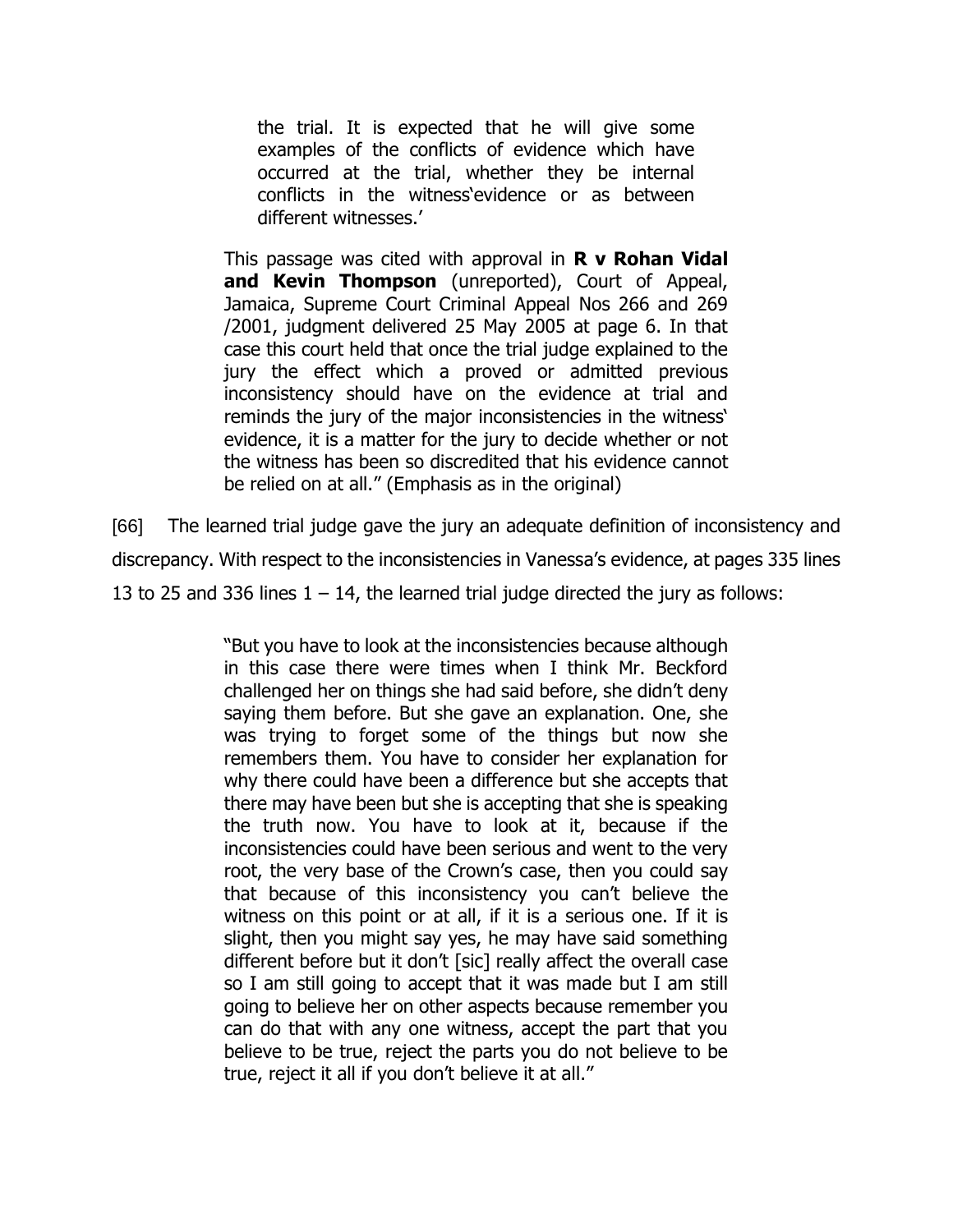the trial. It is expected that he will give some examples of the conflicts of evidence which have occurred at the trial, whether they be internal conflicts in the witness'evidence or as between different witnesses.'

This passage was cited with approval in **R v Rohan Vidal and Kevin Thompson** (unreported), Court of Appeal, Jamaica, Supreme Court Criminal Appeal Nos 266 and 269 /2001, judgment delivered 25 May 2005 at page 6. In that case this court held that once the trial judge explained to the jury the effect which a proved or admitted previous inconsistency should have on the evidence at trial and reminds the jury of the major inconsistencies in the witness' evidence, it is a matter for the jury to decide whether or not the witness has been so discredited that his evidence cannot be relied on at all." (Emphasis as in the original)

[66] The learned trial judge gave the jury an adequate definition of inconsistency and discrepancy. With respect to the inconsistencies in Vanessa's evidence, at pages 335 lines 13 to 25 and 336 lines  $1 - 14$ , the learned trial judge directed the jury as follows:

> "But you have to look at the inconsistencies because although in this case there were times when I think Mr. Beckford challenged her on things she had said before, she didn't deny saying them before. But she gave an explanation. One, she was trying to forget some of the things but now she remembers them. You have to consider her explanation for why there could have been a difference but she accepts that there may have been but she is accepting that she is speaking the truth now. You have to look at it, because if the inconsistencies could have been serious and went to the very root, the very base of the Crown's case, then you could say that because of this inconsistency you can't believe the witness on this point or at all, if it is a serious one. If it is slight, then you might say yes, he may have said something different before but it don't [sic] really affect the overall case so I am still going to accept that it was made but I am still going to believe her on other aspects because remember you can do that with any one witness, accept the part that you believe to be true, reject the parts you do not believe to be true, reject it all if you don't believe it at all."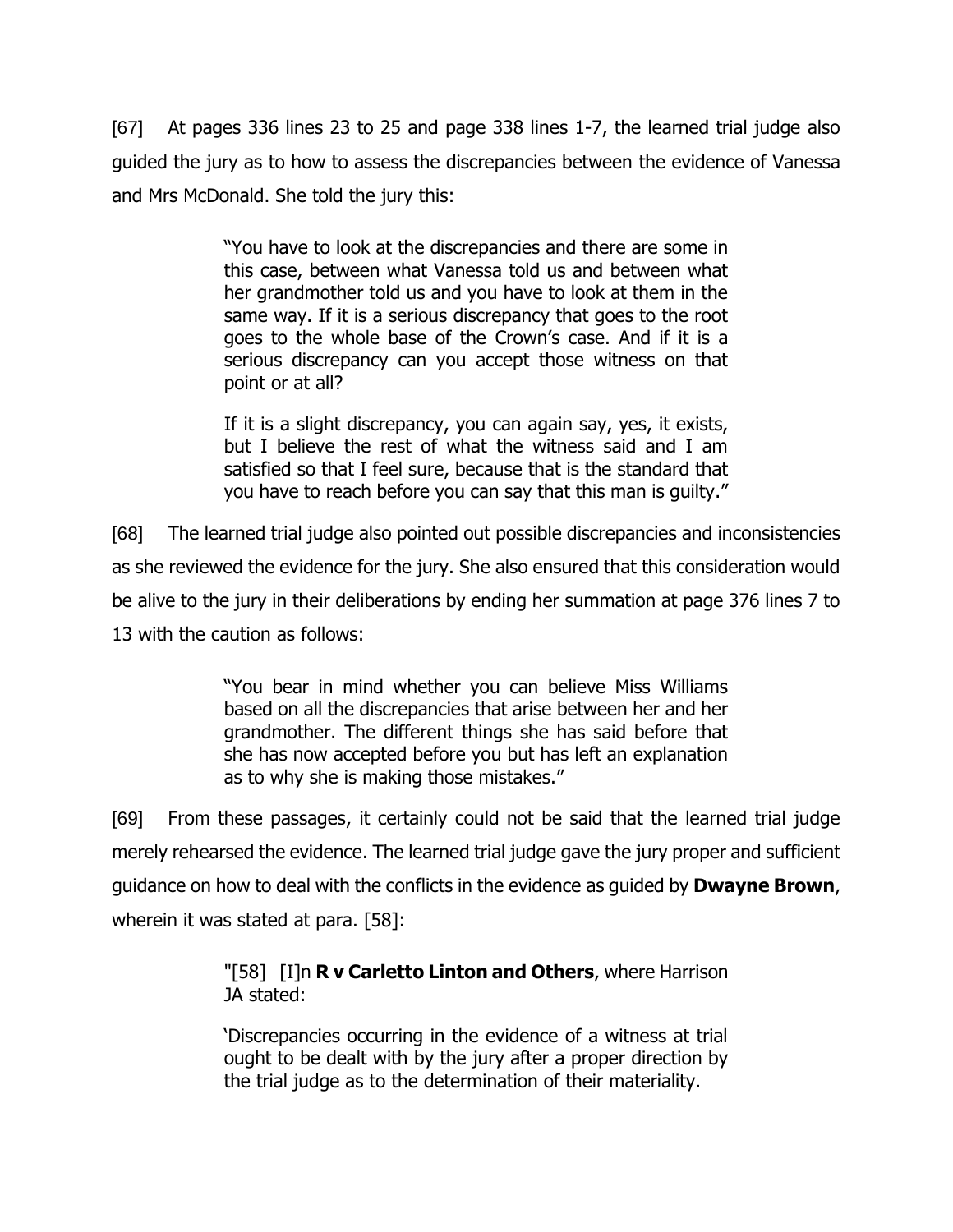[67] At pages 336 lines 23 to 25 and page 338 lines 1-7, the learned trial judge also guided the jury as to how to assess the discrepancies between the evidence of Vanessa and Mrs McDonald. She told the jury this:

> "You have to look at the discrepancies and there are some in this case, between what Vanessa told us and between what her grandmother told us and you have to look at them in the same way. If it is a serious discrepancy that goes to the root goes to the whole base of the Crown's case. And if it is a serious discrepancy can you accept those witness on that point or at all?

> If it is a slight discrepancy, you can again say, yes, it exists, but I believe the rest of what the witness said and I am satisfied so that I feel sure, because that is the standard that you have to reach before you can say that this man is guilty."

[68] The learned trial judge also pointed out possible discrepancies and inconsistencies as she reviewed the evidence for the jury. She also ensured that this consideration would be alive to the jury in their deliberations by ending her summation at page 376 lines 7 to 13 with the caution as follows:

> "You bear in mind whether you can believe Miss Williams based on all the discrepancies that arise between her and her grandmother. The different things she has said before that she has now accepted before you but has left an explanation as to why she is making those mistakes."

[69] From these passages, it certainly could not be said that the learned trial judge merely rehearsed the evidence. The learned trial judge gave the jury proper and sufficient guidance on how to deal with the conflicts in the evidence as guided by **Dwayne Brown**, wherein it was stated at para. [58]:

### "[58] [I]n **R v Carletto Linton and Others**, where Harrison JA stated:

'Discrepancies occurring in the evidence of a witness at trial ought to be dealt with by the jury after a proper direction by the trial judge as to the determination of their materiality.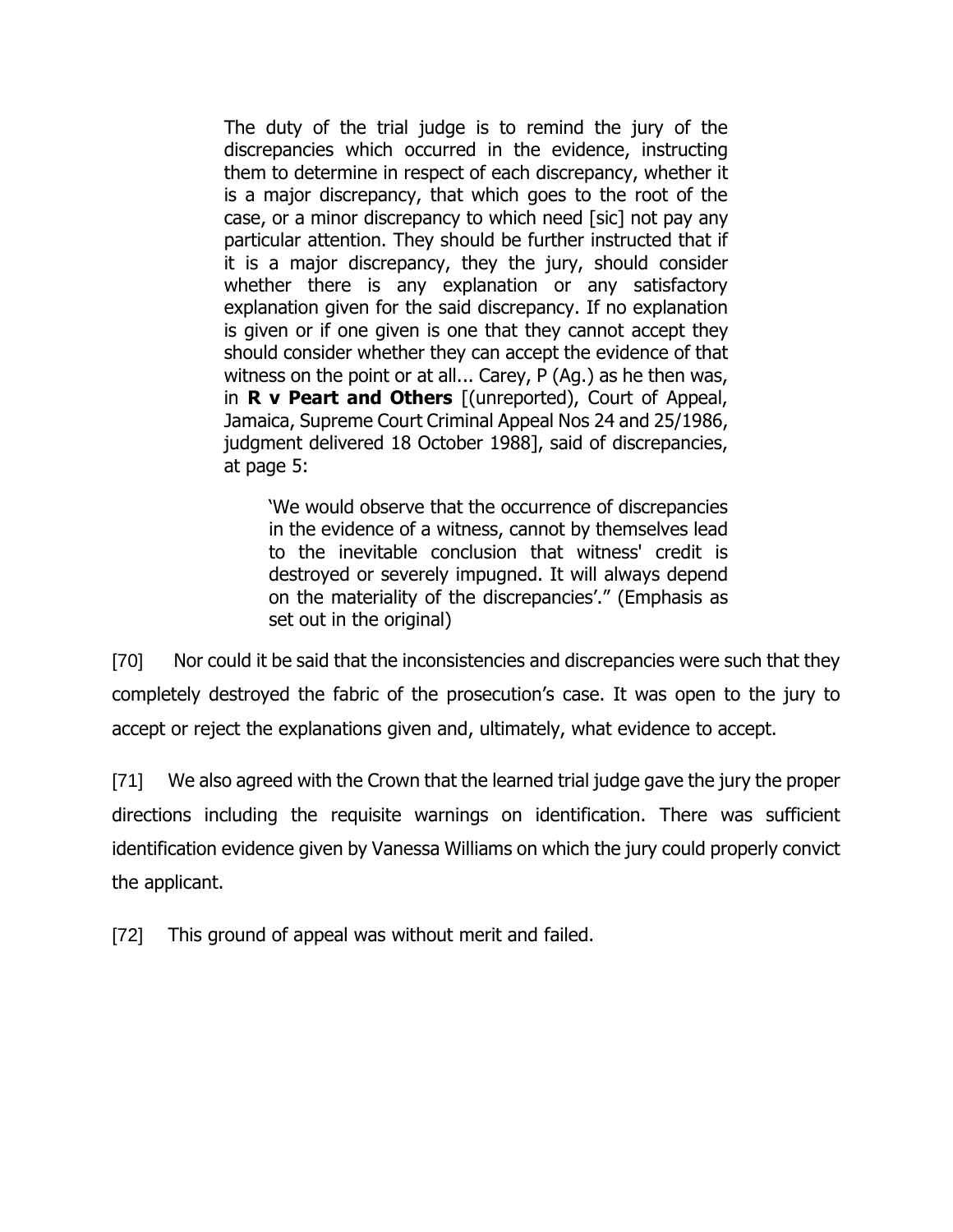The duty of the trial judge is to remind the jury of the discrepancies which occurred in the evidence, instructing them to determine in respect of each discrepancy, whether it is a major discrepancy, that which goes to the root of the case, or a minor discrepancy to which need [sic] not pay any particular attention. They should be further instructed that if it is a major discrepancy, they the jury, should consider whether there is any explanation or any satisfactory explanation given for the said discrepancy. If no explanation is given or if one given is one that they cannot accept they should consider whether they can accept the evidence of that witness on the point or at all... Carey, P (Ag.) as he then was, in **R v Peart and Others** [(unreported), Court of Appeal, Jamaica, Supreme Court Criminal Appeal Nos 24 and 25/1986, judgment delivered 18 October 1988], said of discrepancies, at page 5:

'We would observe that the occurrence of discrepancies in the evidence of a witness, cannot by themselves lead to the inevitable conclusion that witness' credit is destroyed or severely impugned. It will always depend on the materiality of the discrepancies'." (Emphasis as set out in the original)

[70] Nor could it be said that the inconsistencies and discrepancies were such that they completely destroyed the fabric of the prosecution's case. It was open to the jury to accept or reject the explanations given and, ultimately, what evidence to accept.

[71] We also agreed with the Crown that the learned trial judge gave the jury the proper directions including the requisite warnings on identification. There was sufficient identification evidence given by Vanessa Williams on which the jury could properly convict the applicant.

[72] This ground of appeal was without merit and failed.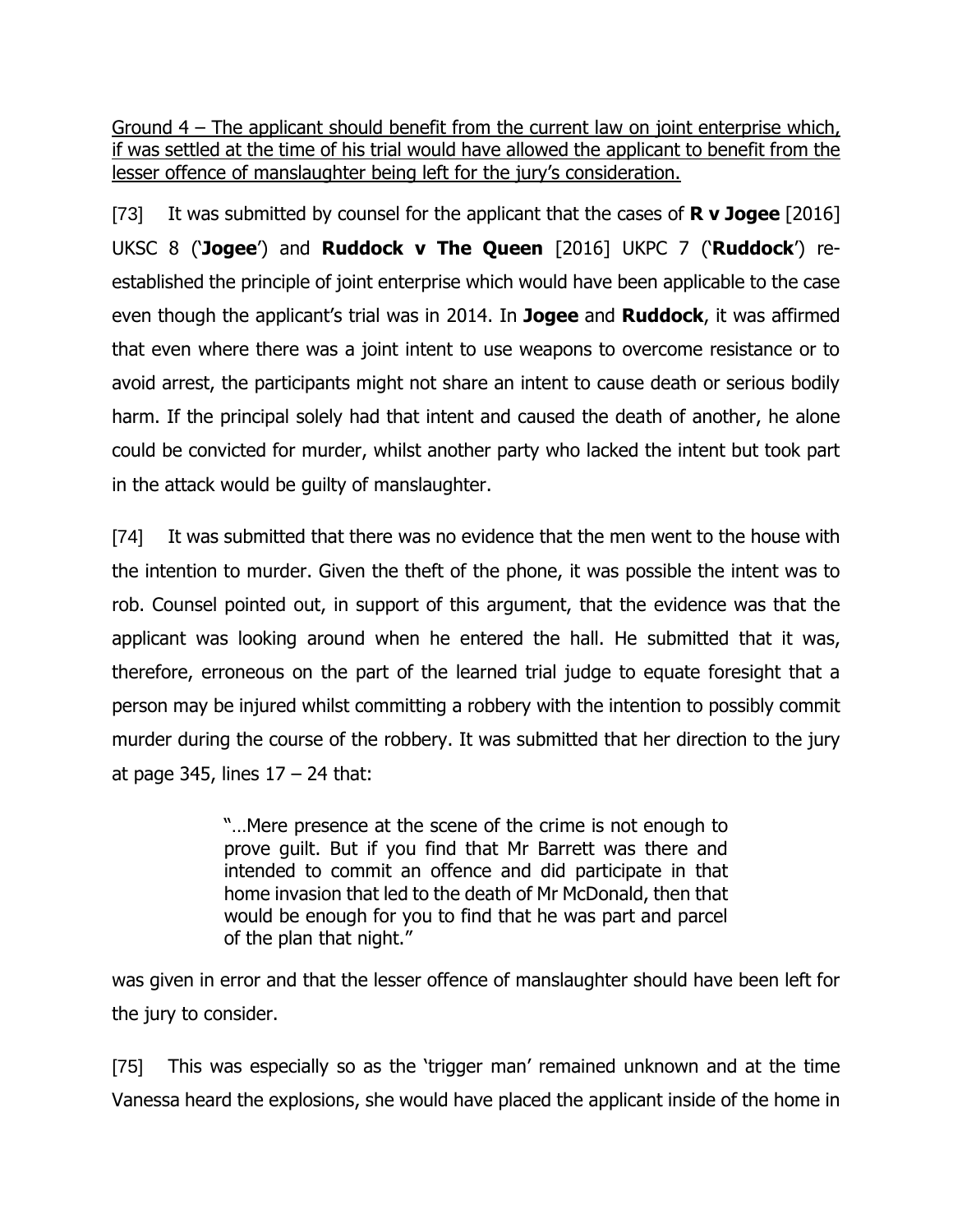Ground 4 – The applicant should benefit from the current law on joint enterprise which, if was settled at the time of his trial would have allowed the applicant to benefit from the lesser offence of manslaughter being left for the jury's consideration.

[73] It was submitted by counsel for the applicant that the cases of **R v Jogee** [2016] UKSC 8 ('**Jogee**') and **Ruddock v The Queen** [2016] UKPC 7 ('**Ruddock**') reestablished the principle of joint enterprise which would have been applicable to the case even though the applicant's trial was in 2014. In **Jogee** and **Ruddock**, it was affirmed that even where there was a joint intent to use weapons to overcome resistance or to avoid arrest, the participants might not share an intent to cause death or serious bodily harm. If the principal solely had that intent and caused the death of another, he alone could be convicted for murder, whilst another party who lacked the intent but took part in the attack would be guilty of manslaughter.

[74] It was submitted that there was no evidence that the men went to the house with the intention to murder. Given the theft of the phone, it was possible the intent was to rob. Counsel pointed out, in support of this argument, that the evidence was that the applicant was looking around when he entered the hall. He submitted that it was, therefore, erroneous on the part of the learned trial judge to equate foresight that a person may be injured whilst committing a robbery with the intention to possibly commit murder during the course of the robbery. It was submitted that her direction to the jury at page 345, lines  $17 - 24$  that:

> "…Mere presence at the scene of the crime is not enough to prove guilt. But if you find that Mr Barrett was there and intended to commit an offence and did participate in that home invasion that led to the death of Mr McDonald, then that would be enough for you to find that he was part and parcel of the plan that night."

was given in error and that the lesser offence of manslaughter should have been left for the jury to consider.

[75] This was especially so as the 'trigger man' remained unknown and at the time Vanessa heard the explosions, she would have placed the applicant inside of the home in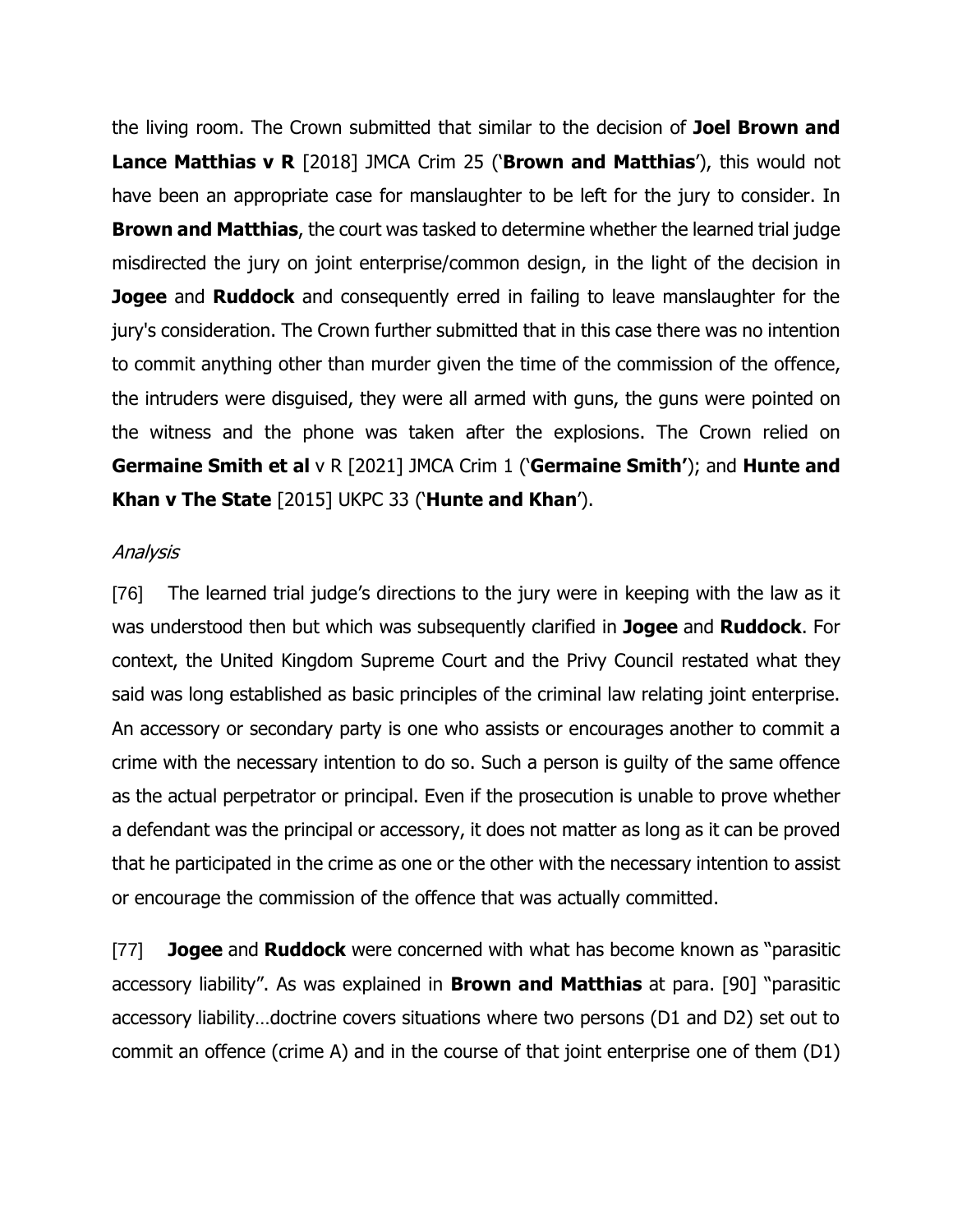the living room. The Crown submitted that similar to the decision of **Joel Brown and Lance Matthias v R** [2018] JMCA Crim 25 ('**Brown and Matthias**'), this would not have been an appropriate case for manslaughter to be left for the jury to consider. In **Brown and Matthias**, the court was tasked to determine whether the learned trial judge misdirected the jury on joint enterprise/common design, in the light of the decision in **Jogee** and **Ruddock** and consequently erred in failing to leave manslaughter for the jury's consideration. The Crown further submitted that in this case there was no intention to commit anything other than murder given the time of the commission of the offence, the intruders were disguised, they were all armed with guns, the guns were pointed on the witness and the phone was taken after the explosions. The Crown relied on **Germaine Smith et al** v R [2021] JMCA Crim 1 ('**Germaine Smith'**); and **Hunte and Khan v The State** [2015] UKPC 33 ('**Hunte and Khan**').

#### Analysis

[76] The learned trial judge's directions to the jury were in keeping with the law as it was understood then but which was subsequently clarified in **Jogee** and **Ruddock**. For context, the United Kingdom Supreme Court and the Privy Council restated what they said was long established as basic principles of the criminal law relating joint enterprise. An accessory or secondary party is one who assists or encourages another to commit a crime with the necessary intention to do so. Such a person is guilty of the same offence as the actual perpetrator or principal. Even if the prosecution is unable to prove whether a defendant was the principal or accessory, it does not matter as long as it can be proved that he participated in the crime as one or the other with the necessary intention to assist or encourage the commission of the offence that was actually committed.

[77] **Jogee** and **Ruddock** were concerned with what has become known as "parasitic accessory liability". As was explained in **Brown and Matthias** at para. [90] "parasitic accessory liability…doctrine covers situations where two persons (D1 and D2) set out to commit an offence (crime A) and in the course of that joint enterprise one of them (D1)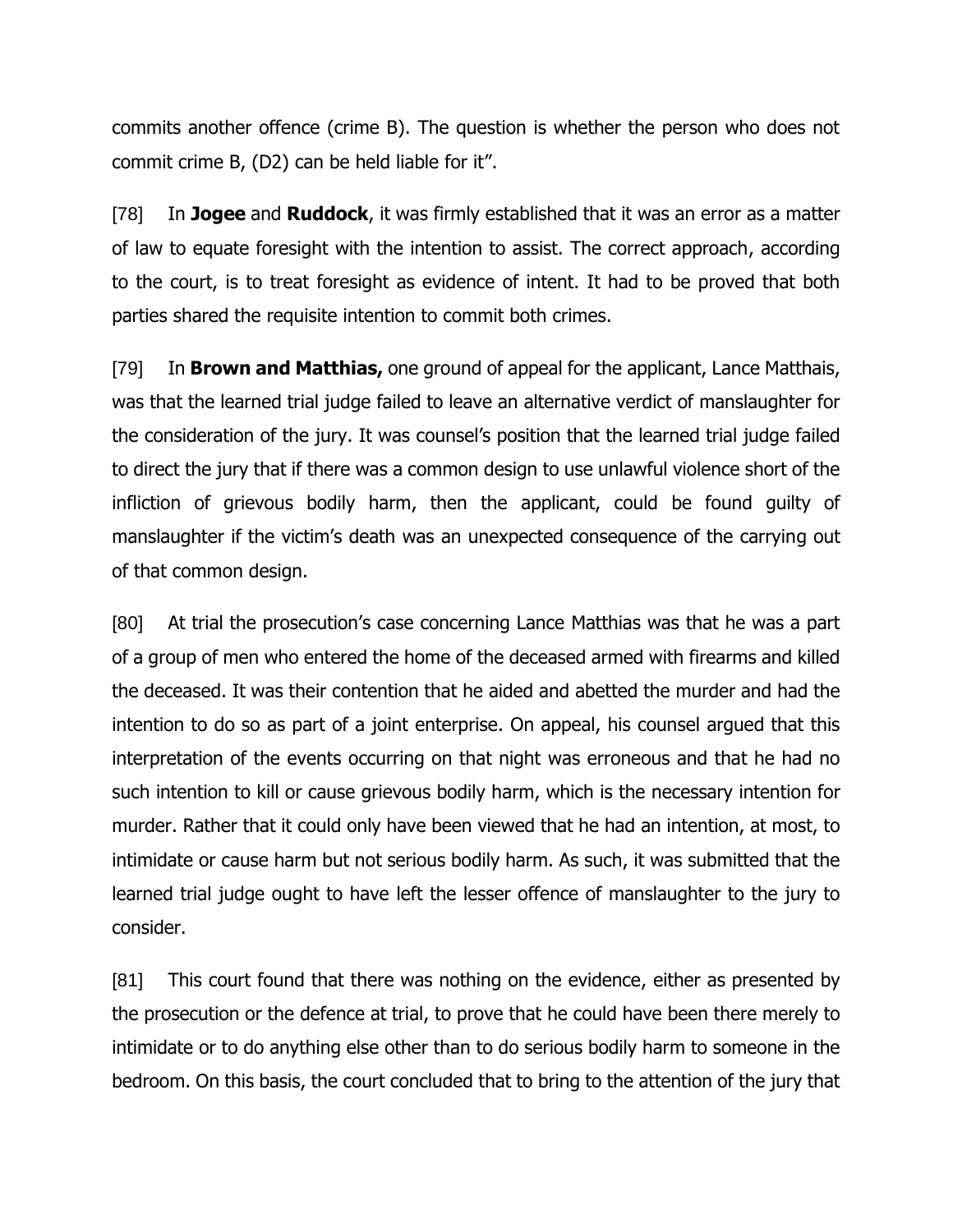commits another offence (crime B). The question is whether the person who does not commit crime B, (D2) can be held liable for it".

[78] In **Jogee** and **Ruddock**, it was firmly established that it was an error as a matter of law to equate foresight with the intention to assist. The correct approach, according to the court, is to treat foresight as evidence of intent. It had to be proved that both parties shared the requisite intention to commit both crimes.

[79] In **Brown and Matthias,** one ground of appeal for the applicant, Lance Matthais, was that the learned trial judge failed to leave an alternative verdict of manslaughter for the consideration of the jury. It was counsel's position that the learned trial judge failed to direct the jury that if there was a common design to use unlawful violence short of the infliction of grievous bodily harm, then the applicant, could be found guilty of manslaughter if the victim's death was an unexpected consequence of the carrying out of that common design.

[80] At trial the prosecution's case concerning Lance Matthias was that he was a part of a group of men who entered the home of the deceased armed with firearms and killed the deceased. It was their contention that he aided and abetted the murder and had the intention to do so as part of a joint enterprise. On appeal, his counsel argued that this interpretation of the events occurring on that night was erroneous and that he had no such intention to kill or cause grievous bodily harm, which is the necessary intention for murder. Rather that it could only have been viewed that he had an intention, at most, to intimidate or cause harm but not serious bodily harm. As such, it was submitted that the learned trial judge ought to have left the lesser offence of manslaughter to the jury to consider.

[81] This court found that there was nothing on the evidence, either as presented by the prosecution or the defence at trial, to prove that he could have been there merely to intimidate or to do anything else other than to do serious bodily harm to someone in the bedroom. On this basis, the court concluded that to bring to the attention of the jury that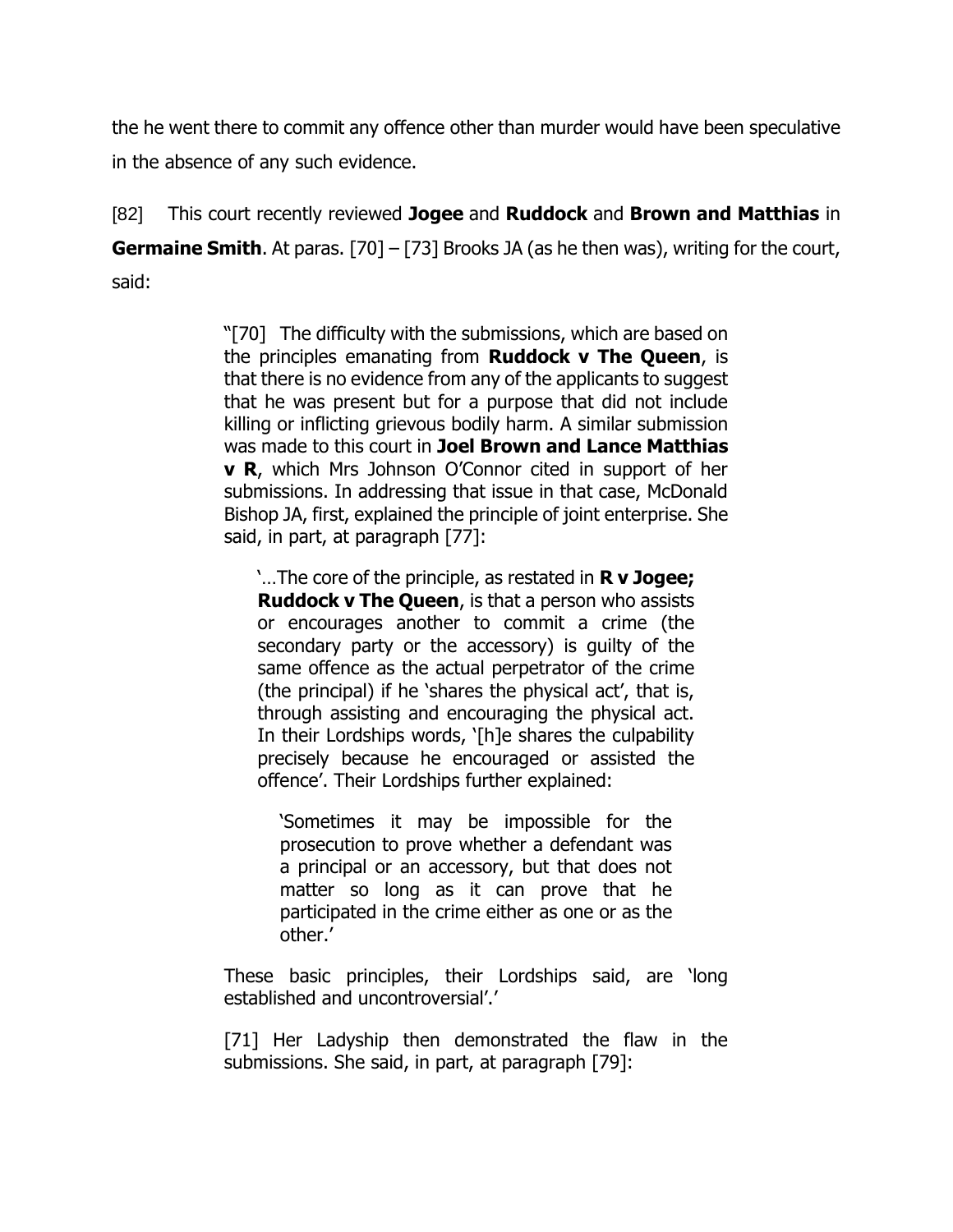the he went there to commit any offence other than murder would have been speculative in the absence of any such evidence.

[82] This court recently reviewed **Jogee** and **Ruddock** and **Brown and Matthias** in **Germaine Smith.** At paras. [70] – [73] Brooks JA (as he then was), writing for the court, said:

> "[70] The difficulty with the submissions, which are based on the principles emanating from **Ruddock v The Queen**, is that there is no evidence from any of the applicants to suggest that he was present but for a purpose that did not include killing or inflicting grievous bodily harm. A similar submission was made to this court in **Joel Brown and Lance Matthias v R**, which Mrs Johnson O'Connor cited in support of her submissions. In addressing that issue in that case, McDonald Bishop JA, first, explained the principle of joint enterprise. She said, in part, at paragraph [77]:

'…The core of the principle, as restated in **R v Jogee; Ruddock v The Queen**, is that a person who assists or encourages another to commit a crime (the secondary party or the accessory) is guilty of the same offence as the actual perpetrator of the crime (the principal) if he 'shares the physical act', that is, through assisting and encouraging the physical act. In their Lordships words, '[h]e shares the culpability precisely because he encouraged or assisted the offence'. Their Lordships further explained:

'Sometimes it may be impossible for the prosecution to prove whether a defendant was a principal or an accessory, but that does not matter so long as it can prove that he participated in the crime either as one or as the other.'

These basic principles, their Lordships said, are 'long established and uncontroversial'.'

[71] Her Ladyship then demonstrated the flaw in the submissions. She said, in part, at paragraph [79]: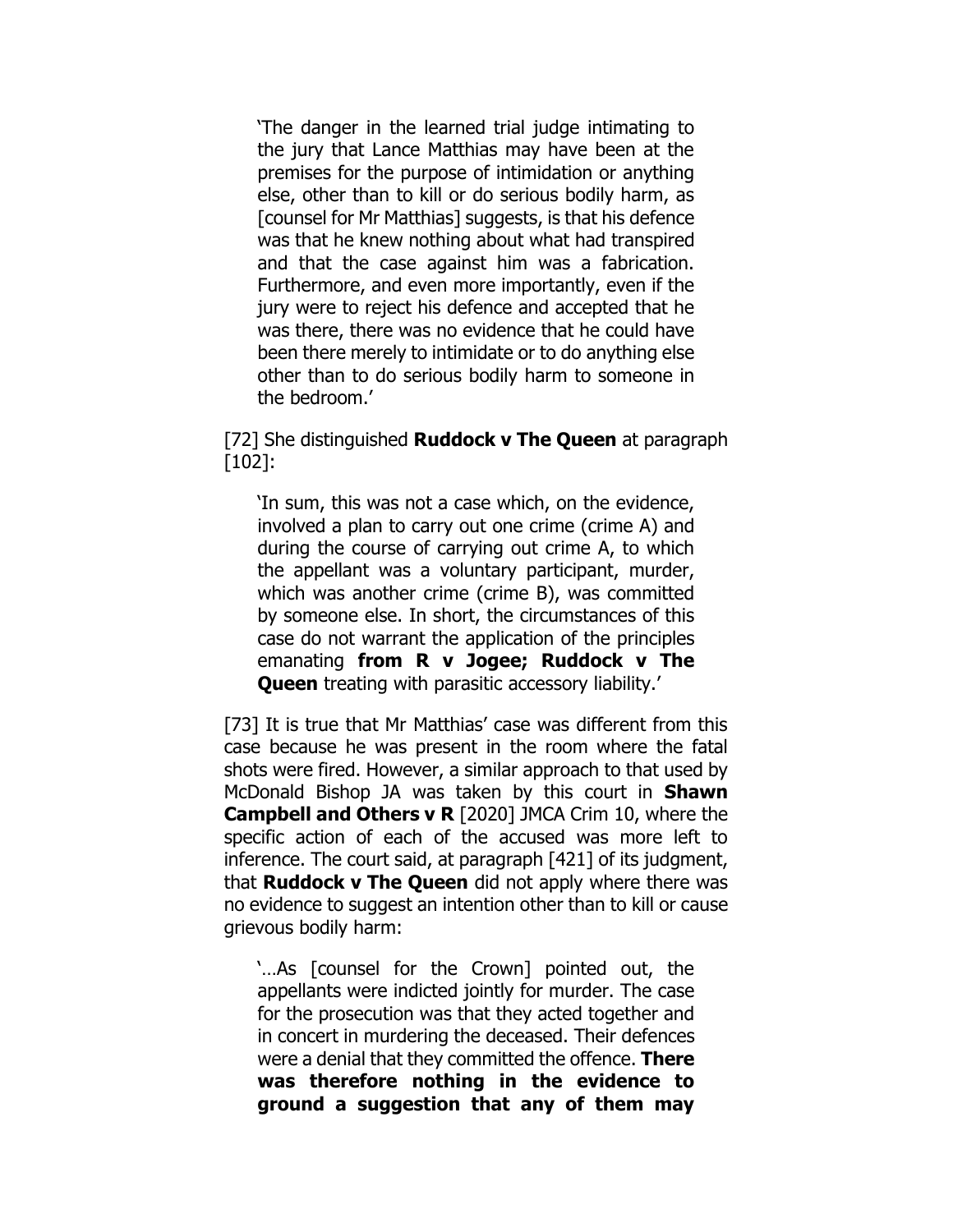'The danger in the learned trial judge intimating to the jury that Lance Matthias may have been at the premises for the purpose of intimidation or anything else, other than to kill or do serious bodily harm, as [counsel for Mr Matthias] suggests, is that his defence was that he knew nothing about what had transpired and that the case against him was a fabrication. Furthermore, and even more importantly, even if the jury were to reject his defence and accepted that he was there, there was no evidence that he could have been there merely to intimidate or to do anything else other than to do serious bodily harm to someone in the bedroom.'

### [72] She distinguished **Ruddock v The Queen** at paragraph [102]:

'In sum, this was not a case which, on the evidence, involved a plan to carry out one crime (crime A) and during the course of carrying out crime A, to which the appellant was a voluntary participant, murder, which was another crime (crime B), was committed by someone else. In short, the circumstances of this case do not warrant the application of the principles emanating **from R v Jogee; Ruddock v The Queen** treating with parasitic accessory liability.'

[73] It is true that Mr Matthias' case was different from this case because he was present in the room where the fatal shots were fired. However, a similar approach to that used by McDonald Bishop JA was taken by this court in **Shawn Campbell and Others v R** [2020] JMCA Crim 10, where the specific action of each of the accused was more left to inference. The court said, at paragraph [421] of its judgment, that **Ruddock v The Queen** did not apply where there was no evidence to suggest an intention other than to kill or cause grievous bodily harm:

'…As [counsel for the Crown] pointed out, the appellants were indicted jointly for murder. The case for the prosecution was that they acted together and in concert in murdering the deceased. Their defences were a denial that they committed the offence. **There was therefore nothing in the evidence to ground a suggestion that any of them may**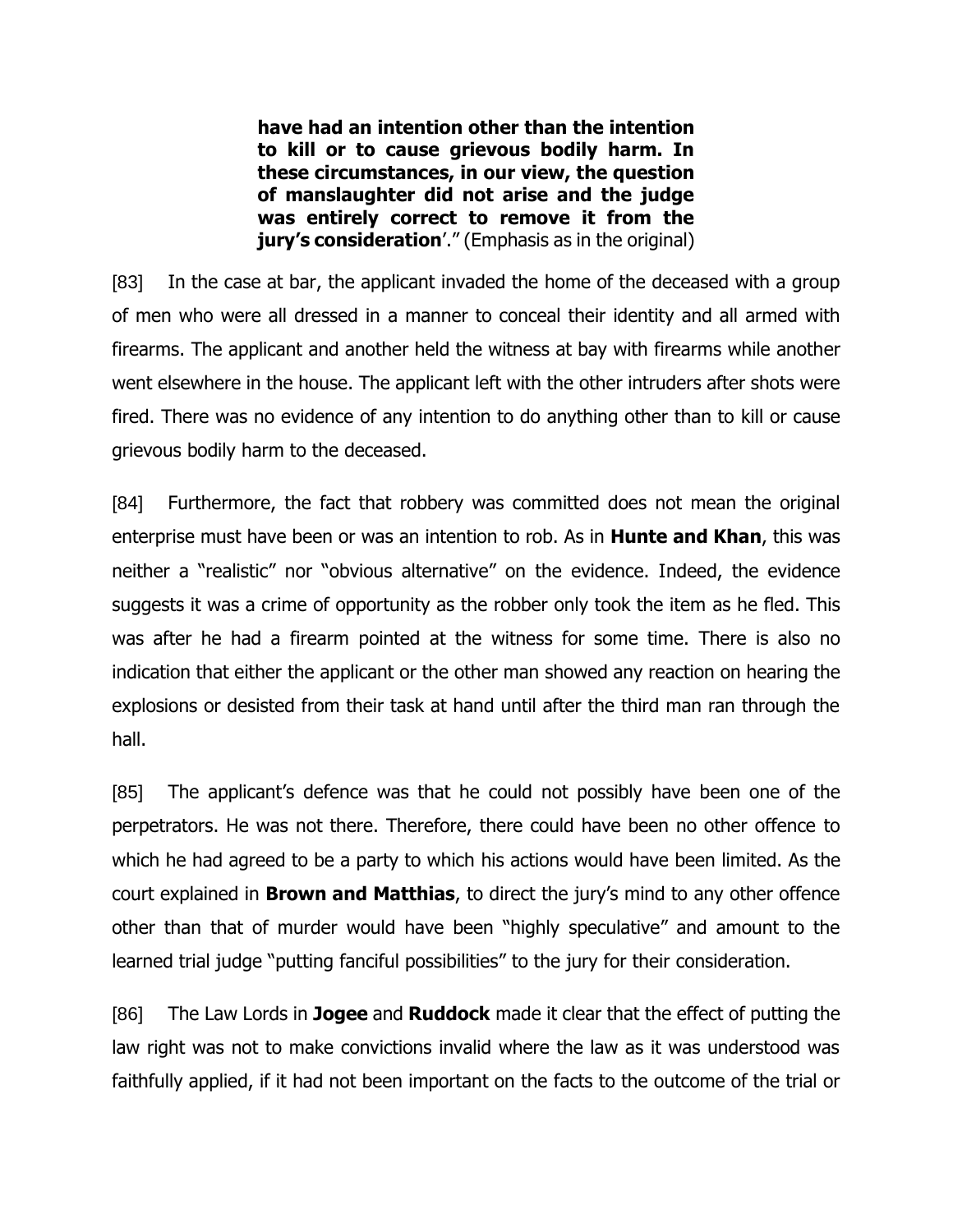**have had an intention other than the intention to kill or to cause grievous bodily harm. In these circumstances, in our view, the question of manslaughter did not arise and the judge was entirely correct to remove it from the jury's consideration'.**" (Emphasis as in the original)

[83] In the case at bar, the applicant invaded the home of the deceased with a group of men who were all dressed in a manner to conceal their identity and all armed with firearms. The applicant and another held the witness at bay with firearms while another went elsewhere in the house. The applicant left with the other intruders after shots were fired. There was no evidence of any intention to do anything other than to kill or cause grievous bodily harm to the deceased.

[84] Furthermore, the fact that robbery was committed does not mean the original enterprise must have been or was an intention to rob. As in **Hunte and Khan**, this was neither a "realistic" nor "obvious alternative" on the evidence. Indeed, the evidence suggests it was a crime of opportunity as the robber only took the item as he fled. This was after he had a firearm pointed at the witness for some time. There is also no indication that either the applicant or the other man showed any reaction on hearing the explosions or desisted from their task at hand until after the third man ran through the hall.

[85] The applicant's defence was that he could not possibly have been one of the perpetrators. He was not there. Therefore, there could have been no other offence to which he had agreed to be a party to which his actions would have been limited. As the court explained in **Brown and Matthias**, to direct the jury's mind to any other offence other than that of murder would have been "highly speculative" and amount to the learned trial judge "putting fanciful possibilities" to the jury for their consideration.

[86] The Law Lords in **Jogee** and **Ruddock** made it clear that the effect of putting the law right was not to make convictions invalid where the law as it was understood was faithfully applied, if it had not been important on the facts to the outcome of the trial or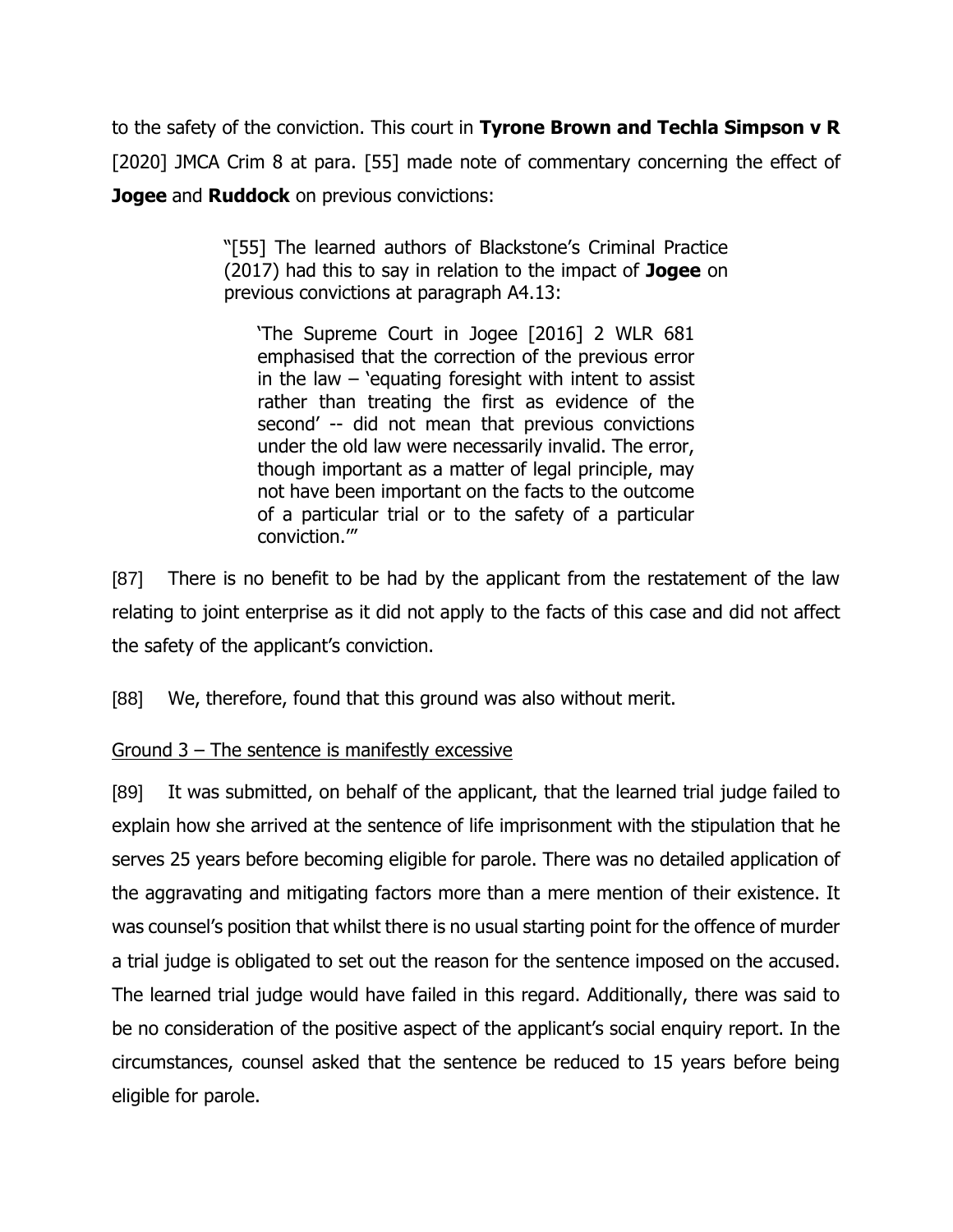to the safety of the conviction. This court in **Tyrone Brown and Techla Simpson v R** [2020] JMCA Crim 8 at para. [55] made note of commentary concerning the effect of **Jogee** and **Ruddock** on previous convictions:

> "[55] The learned authors of Blackstone's Criminal Practice (2017) had this to say in relation to the impact of **Jogee** on previous convictions at paragraph A4.13:

'The Supreme Court in Jogee [2016] 2 WLR 681 emphasised that the correction of the previous error in the law  $-$  'equating foresight with intent to assist rather than treating the first as evidence of the second' -- did not mean that previous convictions under the old law were necessarily invalid. The error, though important as a matter of legal principle, may not have been important on the facts to the outcome of a particular trial or to the safety of a particular conviction.'"

[87] There is no benefit to be had by the applicant from the restatement of the law relating to joint enterprise as it did not apply to the facts of this case and did not affect the safety of the applicant's conviction.

[88] We, therefore, found that this ground was also without merit.

# Ground 3 – The sentence is manifestly excessive

[89] It was submitted, on behalf of the applicant, that the learned trial judge failed to explain how she arrived at the sentence of life imprisonment with the stipulation that he serves 25 years before becoming eligible for parole. There was no detailed application of the aggravating and mitigating factors more than a mere mention of their existence. It was counsel's position that whilst there is no usual starting point for the offence of murder a trial judge is obligated to set out the reason for the sentence imposed on the accused. The learned trial judge would have failed in this regard. Additionally, there was said to be no consideration of the positive aspect of the applicant's social enquiry report. In the circumstances, counsel asked that the sentence be reduced to 15 years before being eligible for parole.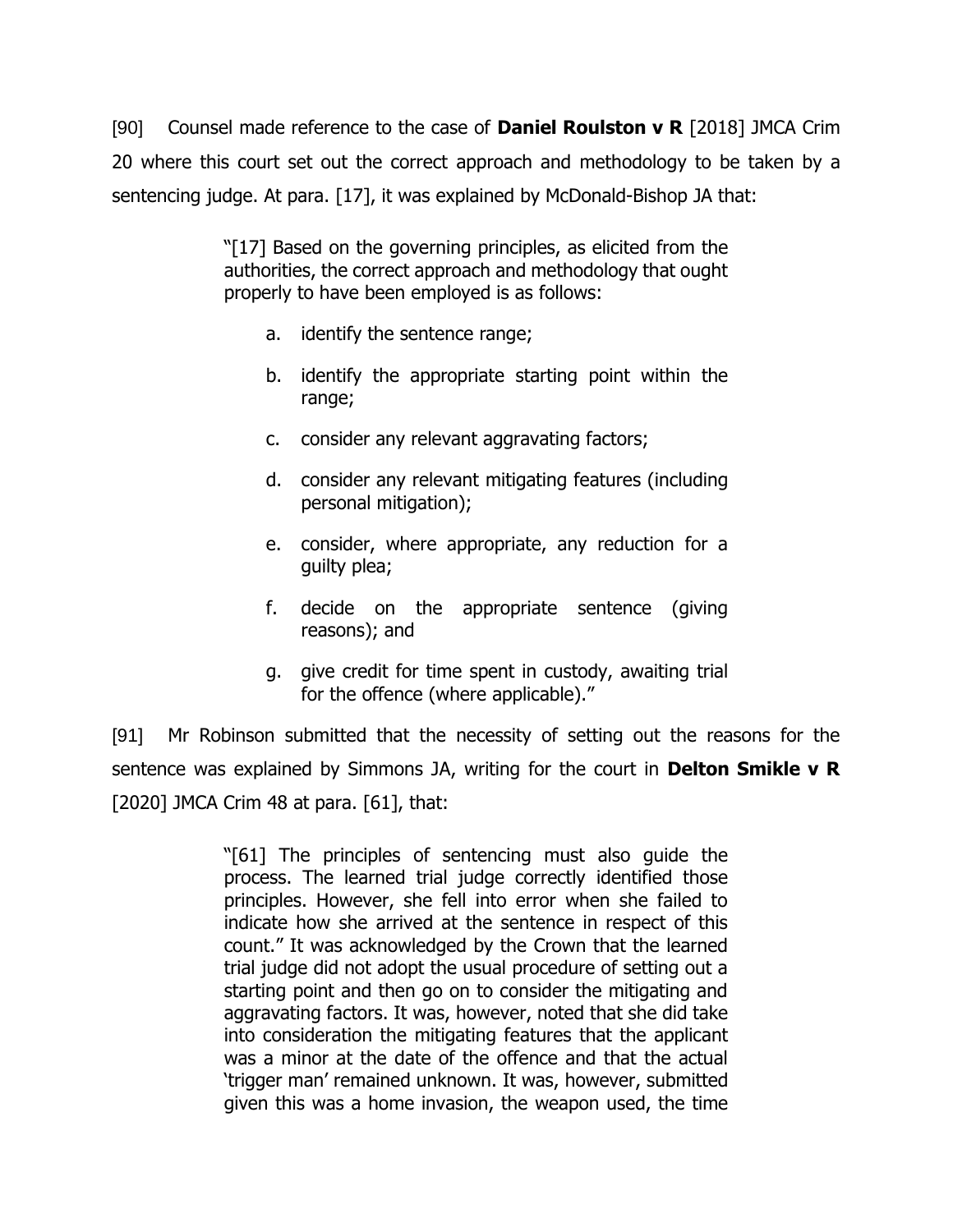[90] Counsel made reference to the case of **Daniel Roulston v R** [2018] JMCA Crim 20 where this court set out the correct approach and methodology to be taken by a sentencing judge. At para. [17], it was explained by McDonald-Bishop JA that:

> "[17] Based on the governing principles, as elicited from the authorities, the correct approach and methodology that ought properly to have been employed is as follows:

- a. identify the sentence range;
- b. identify the appropriate starting point within the range;
- c. consider any relevant aggravating factors;
- d. consider any relevant mitigating features (including personal mitigation);
- e. consider, where appropriate, any reduction for a guilty plea;
- f. decide on the appropriate sentence (giving reasons); and
- g. give credit for time spent in custody, awaiting trial for the offence (where applicable)."

[91] Mr Robinson submitted that the necessity of setting out the reasons for the sentence was explained by Simmons JA, writing for the court in **Delton Smikle v R**  $[2020]$  JMCA Crim 48 at para.  $[61]$ , that:

> "[61] The principles of sentencing must also guide the process. The learned trial judge correctly identified those principles. However, she fell into error when she failed to indicate how she arrived at the sentence in respect of this count." It was acknowledged by the Crown that the learned trial judge did not adopt the usual procedure of setting out a starting point and then go on to consider the mitigating and aggravating factors. It was, however, noted that she did take into consideration the mitigating features that the applicant was a minor at the date of the offence and that the actual 'trigger man' remained unknown. It was, however, submitted given this was a home invasion, the weapon used, the time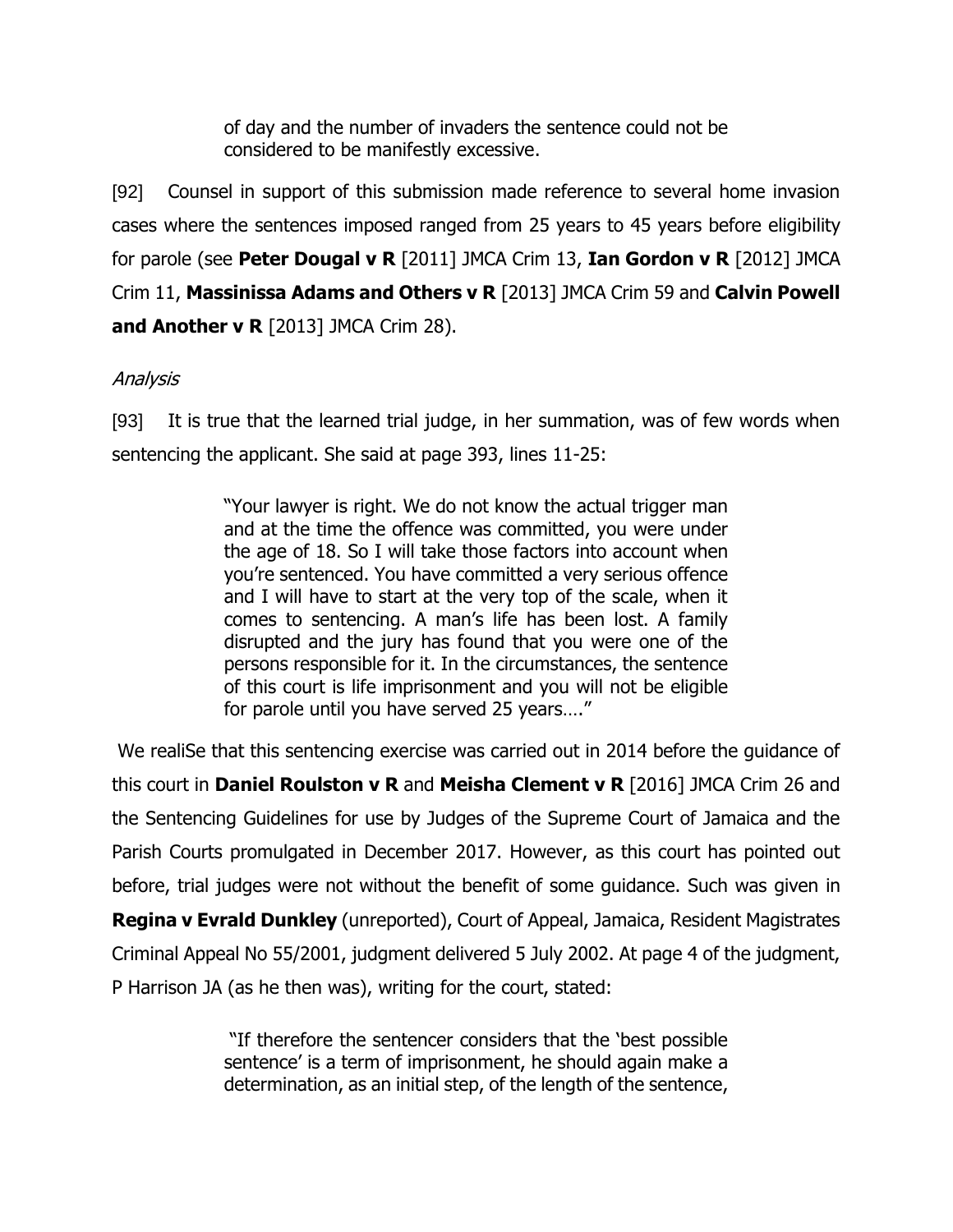of day and the number of invaders the sentence could not be considered to be manifestly excessive.

[92] Counsel in support of this submission made reference to several home invasion cases where the sentences imposed ranged from 25 years to 45 years before eligibility for parole (see **Peter Dougal v R** [2011] JMCA Crim 13, **Ian Gordon v R** [2012] JMCA Crim 11, **Massinissa Adams and Others v R** [2013] JMCA Crim 59 and **Calvin Powell and Another v R** [2013] JMCA Crim 28).

# Analysis

[93] It is true that the learned trial judge, in her summation, was of few words when sentencing the applicant. She said at page 393, lines 11-25:

> "Your lawyer is right. We do not know the actual trigger man and at the time the offence was committed, you were under the age of 18. So I will take those factors into account when you're sentenced. You have committed a very serious offence and I will have to start at the very top of the scale, when it comes to sentencing. A man's life has been lost. A family disrupted and the jury has found that you were one of the persons responsible for it. In the circumstances, the sentence of this court is life imprisonment and you will not be eligible for parole until you have served 25 years…."

We realiSe that this sentencing exercise was carried out in 2014 before the guidance of this court in **Daniel Roulston v R** and **Meisha Clement v R** [2016] JMCA Crim 26 and the Sentencing Guidelines for use by Judges of the Supreme Court of Jamaica and the Parish Courts promulgated in December 2017. However, as this court has pointed out before, trial judges were not without the benefit of some guidance. Such was given in **Regina v Evrald Dunkley** (unreported), Court of Appeal, Jamaica, Resident Magistrates Criminal Appeal No 55/2001, judgment delivered 5 July 2002. At page 4 of the judgment, P Harrison JA (as he then was), writing for the court, stated:

> "If therefore the sentencer considers that the 'best possible sentence' is a term of imprisonment, he should again make a determination, as an initial step, of the length of the sentence,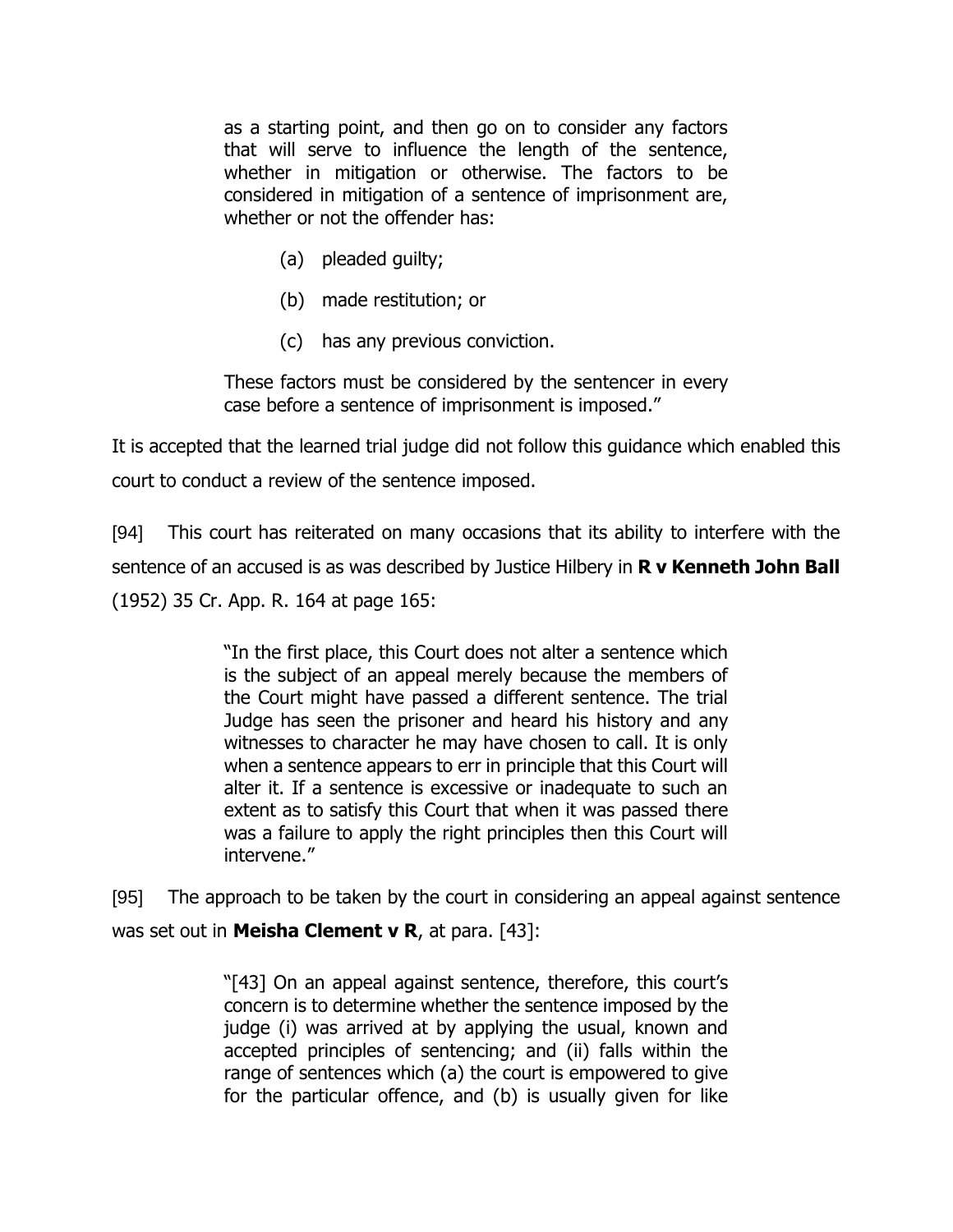as a starting point, and then go on to consider any factors that will serve to influence the length of the sentence, whether in mitigation or otherwise. The factors to be considered in mitigation of a sentence of imprisonment are, whether or not the offender has:

- (a) pleaded guilty;
- (b) made restitution; or
- (c) has any previous conviction.

These factors must be considered by the sentencer in every case before a sentence of imprisonment is imposed."

It is accepted that the learned trial judge did not follow this guidance which enabled this court to conduct a review of the sentence imposed.

[94] This court has reiterated on many occasions that its ability to interfere with the sentence of an accused is as was described by Justice Hilbery in **R v Kenneth John Ball** (1952) 35 Cr. App. R. 164 at page 165:

> "In the first place, this Court does not alter a sentence which is the subject of an appeal merely because the members of the Court might have passed a different sentence. The trial Judge has seen the prisoner and heard his history and any witnesses to character he may have chosen to call. It is only when a sentence appears to err in principle that this Court will alter it. If a sentence is excessive or inadequate to such an extent as to satisfy this Court that when it was passed there was a failure to apply the right principles then this Court will intervene."

[95] The approach to be taken by the court in considering an appeal against sentence was set out in **Meisha Clement v R**, at para. [43]:

> "[43] On an appeal against sentence, therefore, this court's concern is to determine whether the sentence imposed by the judge (i) was arrived at by applying the usual, known and accepted principles of sentencing; and (ii) falls within the range of sentences which (a) the court is empowered to give for the particular offence, and (b) is usually given for like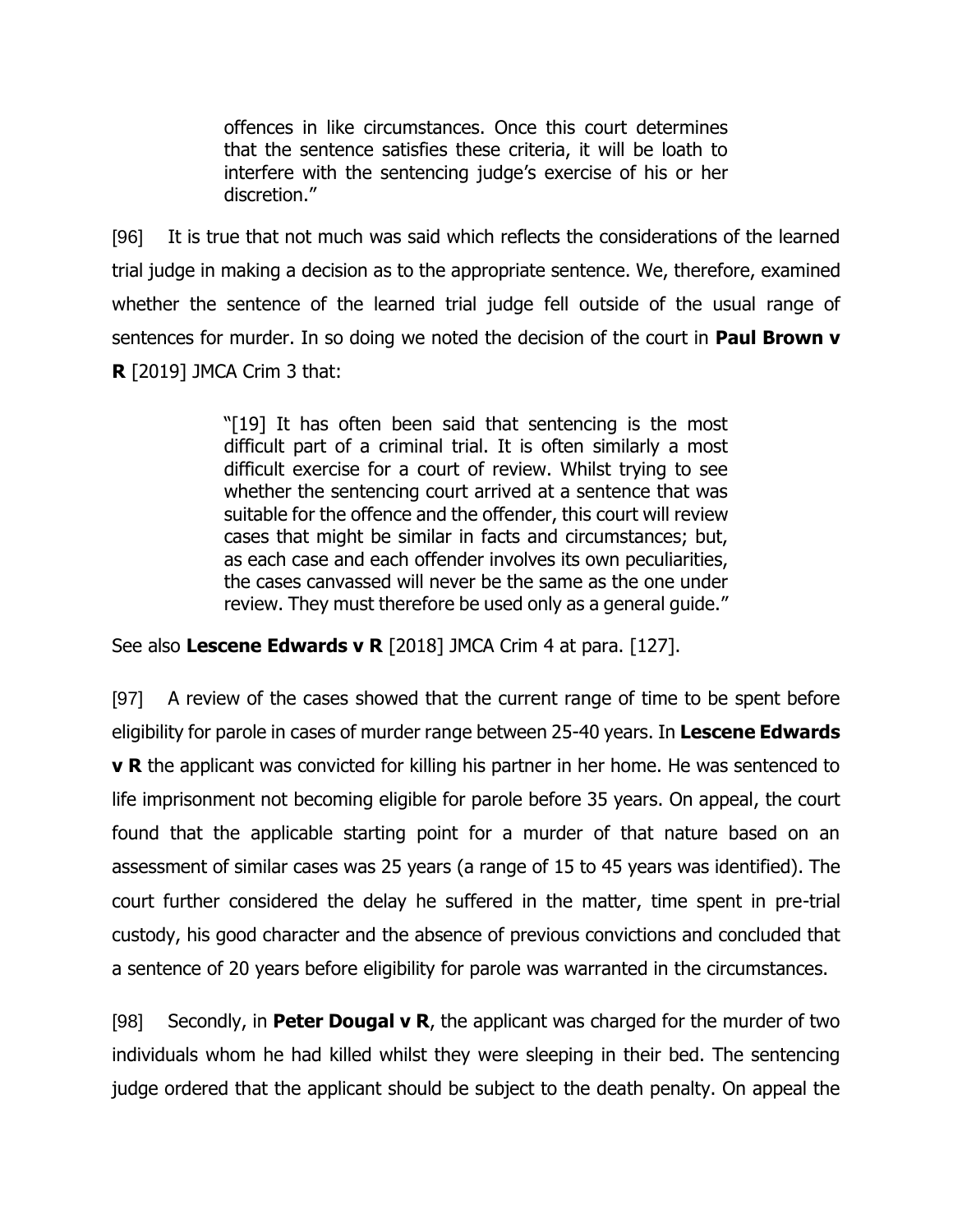offences in like circumstances. Once this court determines that the sentence satisfies these criteria, it will be loath to interfere with the sentencing judge's exercise of his or her discretion."

[96] It is true that not much was said which reflects the considerations of the learned trial judge in making a decision as to the appropriate sentence. We, therefore, examined whether the sentence of the learned trial judge fell outside of the usual range of sentences for murder. In so doing we noted the decision of the court in **Paul Brown v R** [2019] JMCA Crim 3 that:

> "[19] It has often been said that sentencing is the most difficult part of a criminal trial. It is often similarly a most difficult exercise for a court of review. Whilst trying to see whether the sentencing court arrived at a sentence that was suitable for the offence and the offender, this court will review cases that might be similar in facts and circumstances; but, as each case and each offender involves its own peculiarities, the cases canvassed will never be the same as the one under review. They must therefore be used only as a general guide."

See also **Lescene Edwards v R** [2018] JMCA Crim 4 at para. [127].

[97] A review of the cases showed that the current range of time to be spent before eligibility for parole in cases of murder range between 25-40 years. In **Lescene Edwards v R** the applicant was convicted for killing his partner in her home. He was sentenced to life imprisonment not becoming eligible for parole before 35 years. On appeal, the court found that the applicable starting point for a murder of that nature based on an assessment of similar cases was 25 years (a range of 15 to 45 years was identified). The court further considered the delay he suffered in the matter, time spent in pre-trial custody, his good character and the absence of previous convictions and concluded that a sentence of 20 years before eligibility for parole was warranted in the circumstances.

[98] Secondly, in **Peter Dougal v R**, the applicant was charged for the murder of two individuals whom he had killed whilst they were sleeping in their bed. The sentencing judge ordered that the applicant should be subject to the death penalty. On appeal the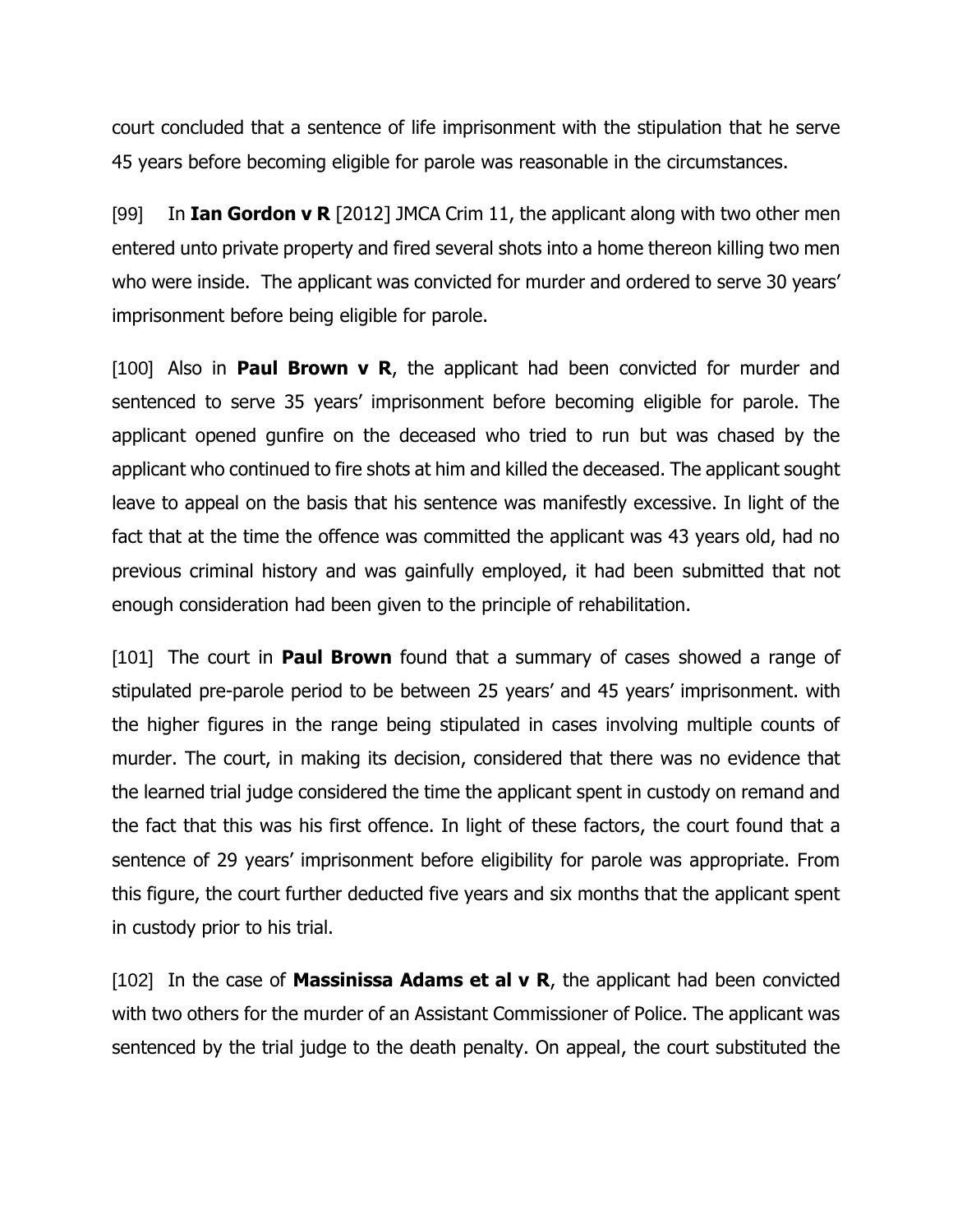court concluded that a sentence of life imprisonment with the stipulation that he serve 45 years before becoming eligible for parole was reasonable in the circumstances.

[99] In **Ian Gordon v R** [2012] JMCA Crim 11, the applicant along with two other men entered unto private property and fired several shots into a home thereon killing two men who were inside. The applicant was convicted for murder and ordered to serve 30 years' imprisonment before being eligible for parole.

[100] Also in **Paul Brown v R**, the applicant had been convicted for murder and sentenced to serve 35 years' imprisonment before becoming eligible for parole. The applicant opened gunfire on the deceased who tried to run but was chased by the applicant who continued to fire shots at him and killed the deceased. The applicant sought leave to appeal on the basis that his sentence was manifestly excessive. In light of the fact that at the time the offence was committed the applicant was 43 years old, had no previous criminal history and was gainfully employed, it had been submitted that not enough consideration had been given to the principle of rehabilitation.

[101] The court in **Paul Brown** found that a summary of cases showed a range of stipulated pre-parole period to be between 25 years' and 45 years' imprisonment. with the higher figures in the range being stipulated in cases involving multiple counts of murder. The court, in making its decision, considered that there was no evidence that the learned trial judge considered the time the applicant spent in custody on remand and the fact that this was his first offence. In light of these factors, the court found that a sentence of 29 years' imprisonment before eligibility for parole was appropriate. From this figure, the court further deducted five years and six months that the applicant spent in custody prior to his trial.

[102] In the case of **Massinissa Adams et al v R**, the applicant had been convicted with two others for the murder of an Assistant Commissioner of Police. The applicant was sentenced by the trial judge to the death penalty. On appeal, the court substituted the